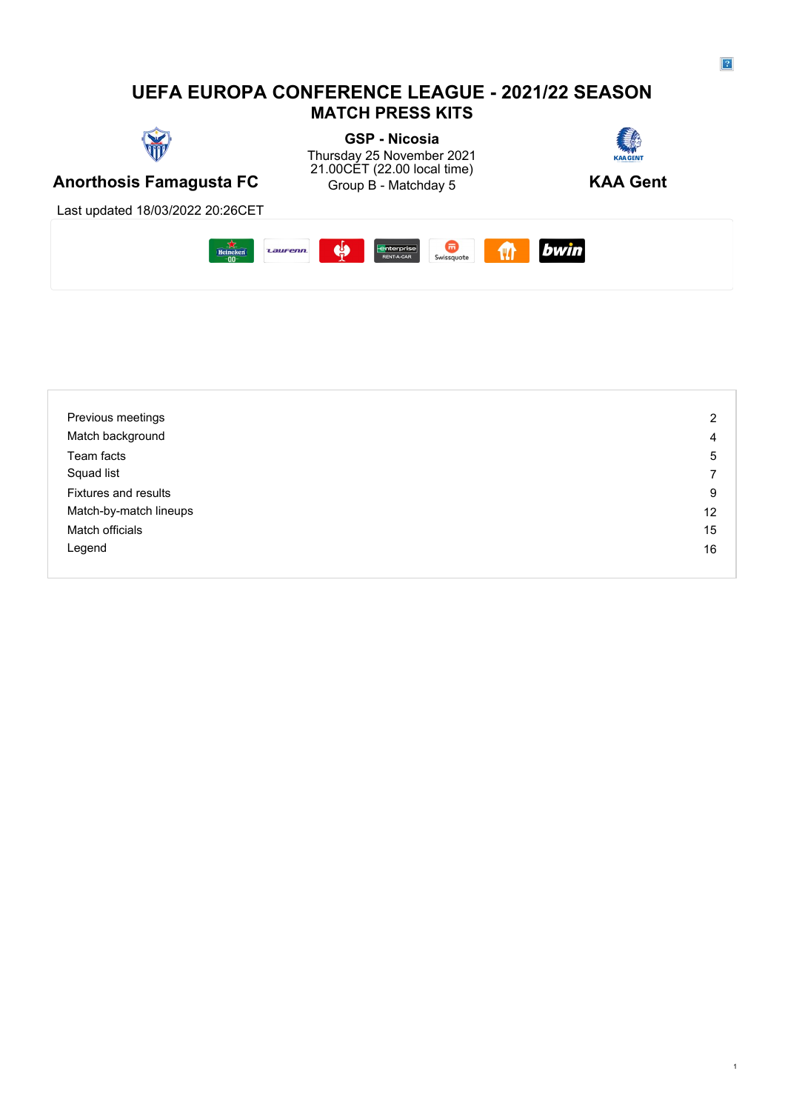## **UEFA EUROPA CONFERENCE LEAGUE - 2021/22 SEASON MATCH PRESS KITS**



**GSP - Nicosia** Thursday 25 November 2021 21.00CET (22.00 local time) Group B - Matchday 5



**Anorthosis Famagusta FC** Group B - Matchday 5 **KAA Gent** 

Last updated 18/03/2022 20:26CET



| Previous meetings           | $\overline{2}$ |
|-----------------------------|----------------|
| Match background            | 4              |
| Team facts                  | 5              |
| Squad list                  | ⇁              |
| <b>Fixtures and results</b> | 9              |
| Match-by-match lineups      | 12             |
| Match officials             | 15             |
| Legend                      | 16             |
|                             |                |

1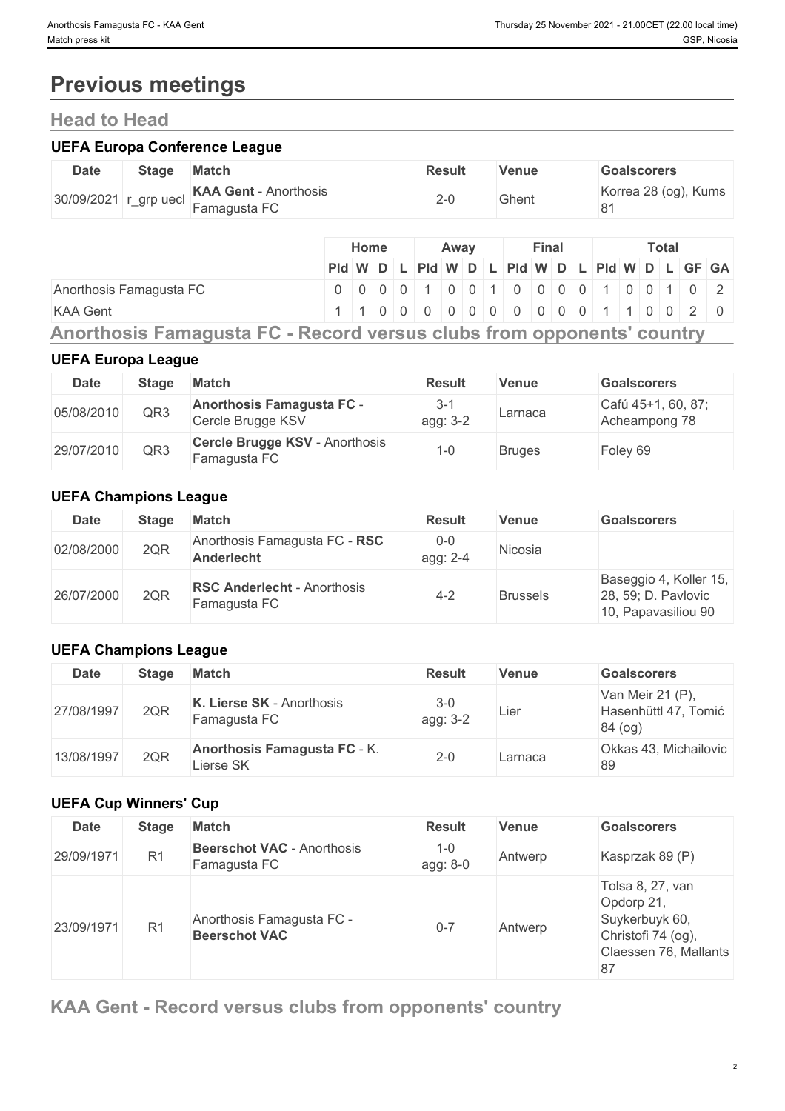# **Previous meetings**

## **Head to Head**

### **UEFA Europa Conference League**

| <b>Date</b> | Stage                 | <b>Match</b>                                 | <b>Result</b> | Venue | <b>Goalscorers</b>         |
|-------------|-----------------------|----------------------------------------------|---------------|-------|----------------------------|
|             | 30/09/2021 r_grp uecl | <b>KAA Gent - Anorthosis</b><br>Famagusta FC | 2-0           | Ghent | Korrea 28 (og), Kums<br>81 |

|                                                                                                                                                                                                                                                                                                  |  | <b>Home</b> |  | Away |  |  |  | Final |  |  |  | Total |  |  |  |  |                                                                                                        |  |  |
|--------------------------------------------------------------------------------------------------------------------------------------------------------------------------------------------------------------------------------------------------------------------------------------------------|--|-------------|--|------|--|--|--|-------|--|--|--|-------|--|--|--|--|--------------------------------------------------------------------------------------------------------|--|--|
|                                                                                                                                                                                                                                                                                                  |  |             |  |      |  |  |  |       |  |  |  |       |  |  |  |  | $PId \mid W \mid D \mid L \mid PId \mid W \mid D \mid L \mid PId \mid W \mid D \mid L \mid GF \mid GA$ |  |  |
| Anorthosis Famagusta FC                                                                                                                                                                                                                                                                          |  |             |  |      |  |  |  |       |  |  |  |       |  |  |  |  | 0 0 0 0 1 0 0 1 0 0 0 0 0 0 1 0 0 1 0 0 1 0 2                                                          |  |  |
| <b>KAA Gent</b>                                                                                                                                                                                                                                                                                  |  |             |  |      |  |  |  |       |  |  |  |       |  |  |  |  | 1 1 0 0 0 0 0 0 0 0 0 0 0 0 1 1 0 0 2 0                                                                |  |  |
| $\mathbf{A}$ and $\mathbf{B}$ and $\mathbf{A}$ and $\mathbf{B}$ and $\mathbf{A}$ and $\mathbf{B}$ and $\mathbf{B}$ and $\mathbf{B}$ and $\mathbf{B}$ and $\mathbf{B}$ and $\mathbf{B}$ and $\mathbf{B}$ and $\mathbf{B}$ and $\mathbf{B}$ and $\mathbf{B}$ and $\mathbf{B}$ and $\mathbf{B}$ and |  |             |  |      |  |  |  |       |  |  |  |       |  |  |  |  |                                                                                                        |  |  |

**Anorthosis Famagusta FC - Record versus clubs from opponents' country**

## **UEFA Europa League**

| <b>Date</b> | <b>Stage</b> | <b>Match</b>                                          | <b>Result</b>   | <b>Venue</b>  | <b>Goalscorers</b>                  |
|-------------|--------------|-------------------------------------------------------|-----------------|---------------|-------------------------------------|
| 05/08/2010  | QR3          | <b>Anorthosis Famagusta FC -</b><br>Cercle Brugge KSV | 3-1<br>agg: 3-2 | Larnaca       | Cafú 45+1, 60, 87;<br>Acheampong 78 |
| 29/07/2010  | QR3          | Cercle Brugge KSV - Anorthosis<br>Famagusta FC        | -0              | <b>Bruges</b> | Foley 69                            |

## **UEFA Champions League**

| <b>Date</b> | Stage | <b>Match</b>                                       | <b>Result</b>       | Venue           | <b>Goalscorers</b>                                                   |
|-------------|-------|----------------------------------------------------|---------------------|-----------------|----------------------------------------------------------------------|
| 02/08/2000  | 2QR   | Anorthosis Famagusta FC - RSC<br><b>Anderlecht</b> | $0 - 0$<br>agg: 2-4 | Nicosia         |                                                                      |
| 26/07/2000  | 2QR   | <b>RSC Anderlecht - Anorthosis</b><br>Famagusta FC | $4 - 2$             | <b>Brussels</b> | Baseggio 4, Koller 15,<br>28, 59; D. Pavlovic<br>10, Papavasiliou 90 |

## **UEFA Champions League**

| <b>Date</b> | <b>Stage</b> | Match                                            | <b>Result</b>     | <b>Venue</b> | <b>Goalscorers</b>                                  |
|-------------|--------------|--------------------------------------------------|-------------------|--------------|-----------------------------------------------------|
| 27/08/1997  | 2QR          | K. Lierse SK - Anorthosis<br>Famagusta FC        | $3-0$<br>agg: 3-2 | Lier         | Van Meir 21 (P),<br>Hasenhüttl 47, Tomić<br>84 (og) |
| 13/08/1997  | 2QR          | <b>Anorthosis Famagusta FC - K.</b><br>Lierse SK | $2 - 0$           | Larnaca      | Okkas 43, Michailovic<br>89                         |

## **UEFA Cup Winners' Cup**

| <b>Date</b> | <b>Stage</b>   | <b>Match</b>                                      | <b>Result</b>       | <b>Venue</b> | <b>Goalscorers</b>                                                                                    |
|-------------|----------------|---------------------------------------------------|---------------------|--------------|-------------------------------------------------------------------------------------------------------|
| 29/09/1971  | R <sub>1</sub> | <b>Beerschot VAC</b> - Anorthosis<br>Famagusta FC | $1 - 0$<br>agg: 8-0 | Antwerp      | Kasprzak 89 (P)                                                                                       |
| 23/09/1971  | R <sub>1</sub> | Anorthosis Famagusta FC -<br><b>Beerschot VAC</b> | $0 - 7$             | Antwerp      | Tolsa 8, 27, van<br>Opdorp 21,<br>Suykerbuyk 60,<br>Christofi 74 (og),<br>Claessen 76, Mallants<br>87 |

**KAA Gent - Record versus clubs from opponents' country**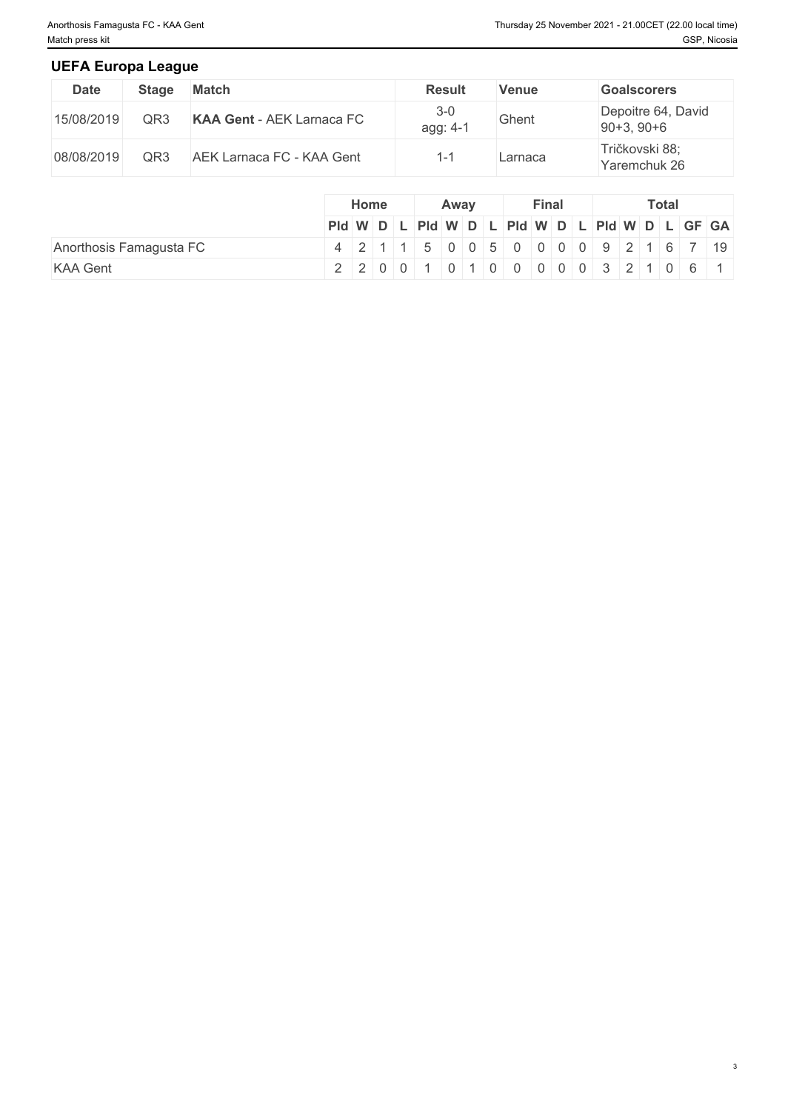#### **UEFA Europa League**

| Date       | <b>Stage</b> | <b>Match</b>                     | <b>Result</b>       | Venue   | <b>Goalscorers</b>                 |
|------------|--------------|----------------------------------|---------------------|---------|------------------------------------|
| 15/08/2019 | QR3          | <b>KAA Gent - AEK Larnaca FC</b> | $3 - 0$<br>agg: 4-1 | Ghent   | Depoitre 64, David<br>$90+3, 90+6$ |
| 08/08/2019 | QR3          | AEK Larnaca FC - KAA Gent        |                     | Larnaca | Tričkovski 88;<br>Yaremchuk 26     |

|                         |                                               | Home |  |  |  | Away |  |  |  | Final | <b>Total</b> |  |  |  |  |  |  |
|-------------------------|-----------------------------------------------|------|--|--|--|------|--|--|--|-------|--------------|--|--|--|--|--|--|
|                         | Pid W D L Pid W D L Pid W D L Pid W D L GF GA |      |  |  |  |      |  |  |  |       |              |  |  |  |  |  |  |
| Anorthosis Famagusta FC | 4 2 1 1 5 0 0 5 0 0 0 0 0 9 2 1 6 7 19        |      |  |  |  |      |  |  |  |       |              |  |  |  |  |  |  |
| <b>KAA Gent</b>         | 2 2 0 0 1 0 1 0 0 0 0 0 0 3 2 1 0 6 1         |      |  |  |  |      |  |  |  |       |              |  |  |  |  |  |  |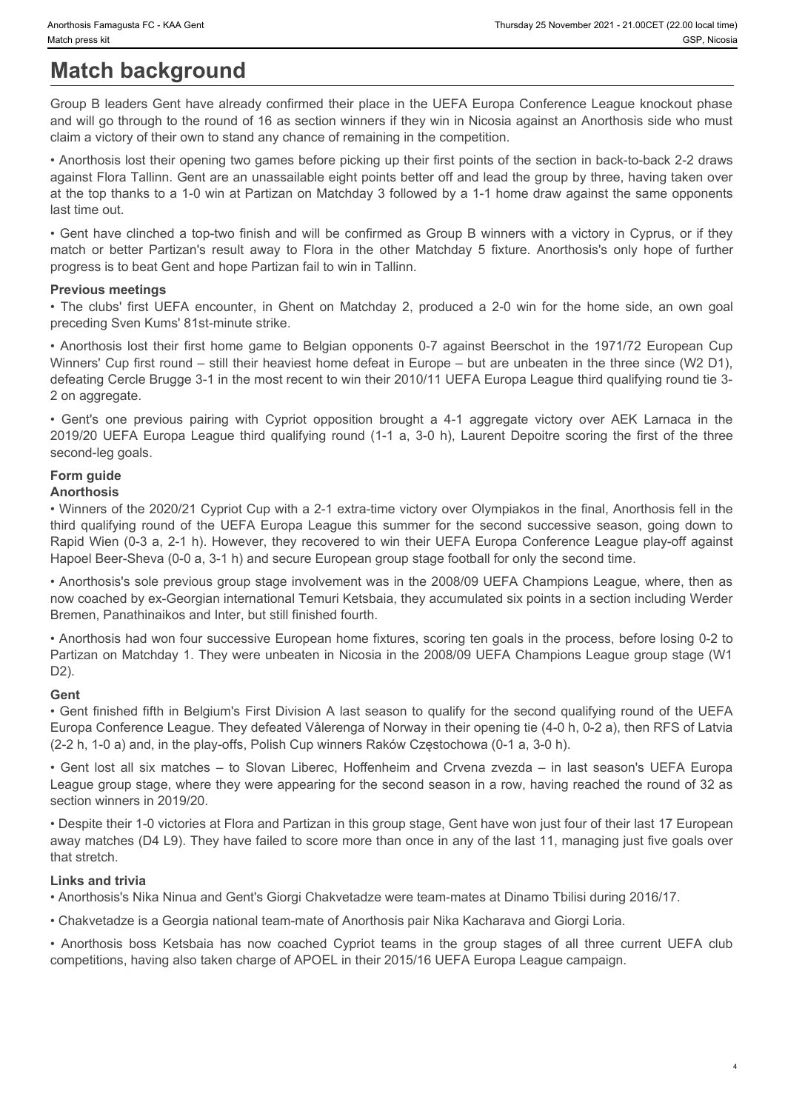# **Match background**

Group B leaders Gent have already confirmed their place in the UEFA Europa Conference League knockout phase and will go through to the round of 16 as section winners if they win in Nicosia against an Anorthosis side who must claim a victory of their own to stand any chance of remaining in the competition.

• Anorthosis lost their opening two games before picking up their first points of the section in back-to-back 2-2 draws against Flora Tallinn. Gent are an unassailable eight points better off and lead the group by three, having taken over at the top thanks to a 1-0 win at Partizan on Matchday 3 followed by a 1-1 home draw against the same opponents last time out.

• Gent have clinched a top-two finish and will be confirmed as Group B winners with a victory in Cyprus, or if they progress is to beat Gent and hope Partizan fail to win in Tallinn.

#### **Previous meetings**

preceding Sven Kums' 81st-minute strike.

mathem at the partizan for the control of the section of the UEFA Europa Conference League knockout phase<br>
Match background<br>
Group B leaders Gent have already confirmed their place in the UEFA Europa Conference League knoc Wherhows Famaglast FC - KAA Geet<br> **Match background**<br>
Group B leaders Gent have already confirmed their place in the UEFA Europa Conference League knockout phase<br>
Group B leaders Gent have already confirmed their place in verthose Famagues FC. KAA Gent<br> **Match background**<br> **CSP. Noose**<br>
GCroup B leaders Gent have already confirmed their place in the UEFA Europa Conference League knockout phase<br>
and will go through to the round of 16 as sect Winners' Cup first round – still their heaviest home defeat in Europe – but are unbeaten in the three since (W2 D1), defeating Cercle Brugge 3-1 in the most recent to win their 2010/11 UEFA Europa League third qualifying round tie 3- 2 on aggregate. • Writies Farregatis C -KAA Gent Control of the UEFA Europe in the UEFA Europe Conference League knockout phase<br>
Group B leaders Gent have sitesely confirmed their place in the UEFA Europe Conference League knockout phase<br> 2019/20 Everywant Favagant FC. KAA Gast (2019)<br>
Match Dack ground<br>
2022- Noost School Dack ground of the Sandon winning the UEFA Europa Conference League knockout phase<br>
and will go through to the crucing of the searchly m throus three three two central contents of the UEFA Europa League this summer of the second of the Society of the UEFA Europa Conference League knockout phase and the UEFA Europa Device the UEFA Europa Conference League kn dalain a video of the most basis all six matching the competition, the most all six matches all the specifical entries in the specifical entries in the specifical entries in the specifical entries in the specifical entrie • The clubs first User-A endoted method for increasing the clubs and the group stages of all the group stages (and only a complete the state of all the free the Anorthosis Boss Ketsbana home of all the free the format all

second-leg goals.

## **Form guide**

#### **Anorthosis**

• Winners of the 2020/21 Cypriot Cup with a 2-1 extra-time victory over Olympiakos in the final, Anorthosis fell in the Rapid Wien (0-3 a, 2-1 h). However, they recovered to win their UEFA Europa Conference League play-off against Hapoel Beer-Sheva (0-0 a, 3-1 h) and secure European group stage football for only the second time.

• Anorthosis's sole previous group stage involvement was in the 2008/09 UEFA Champions League, where, then as now coached by ex-Georgian international Temuri Ketsbaia, they accumulated six points in a section including Werder Bremen, Panathinaikos and Inter, but still finished fourth.

• Anorthosis had won four successive European home fixtures, scoring ten goals in the process, before losing 0-2 to Partizan on Matchday 1. They were unbeaten in Nicosia in the 2008/09 UEFA Champions League group stage (W1 D2).

#### **Gent**

• Gent finished fifth in Belgium's First Division A last season to qualify for the second qualifying round of the UEFA Europa Conference League. They defeated Vålerenga of Norway in their opening tie (4-0 h, 0-2 a), then RFS of Latvia (2-2 h, 1-0 a) and, in the play-offs, Polish Cup winners Raków Częstochowa (0-1 a, 3-0 h).

League group stage, where they were appearing for the second season in a row, having reached the round of 32 as section winners in 2019/20.

• Despite their 1-0 victories at Flora and Partizan in this group stage, Gent have won just four of their last 17 European away matches (D4 L9). They have failed to score more than once in any of the last 11, managing just five goals over that stretch.

#### **Links and trivia**

• Anorthosis's Nika Ninua and Gent's Giorgi Chakvetadze were team-mates at Dinamo Tbilisi during 2016/17.

• Chakvetadze is a Georgia national team-mate of Anorthosis pair Nika Kacharava and Giorgi Loria.

competitions, having also taken charge of APOEL in their 2015/16 UEFA Europa League campaign.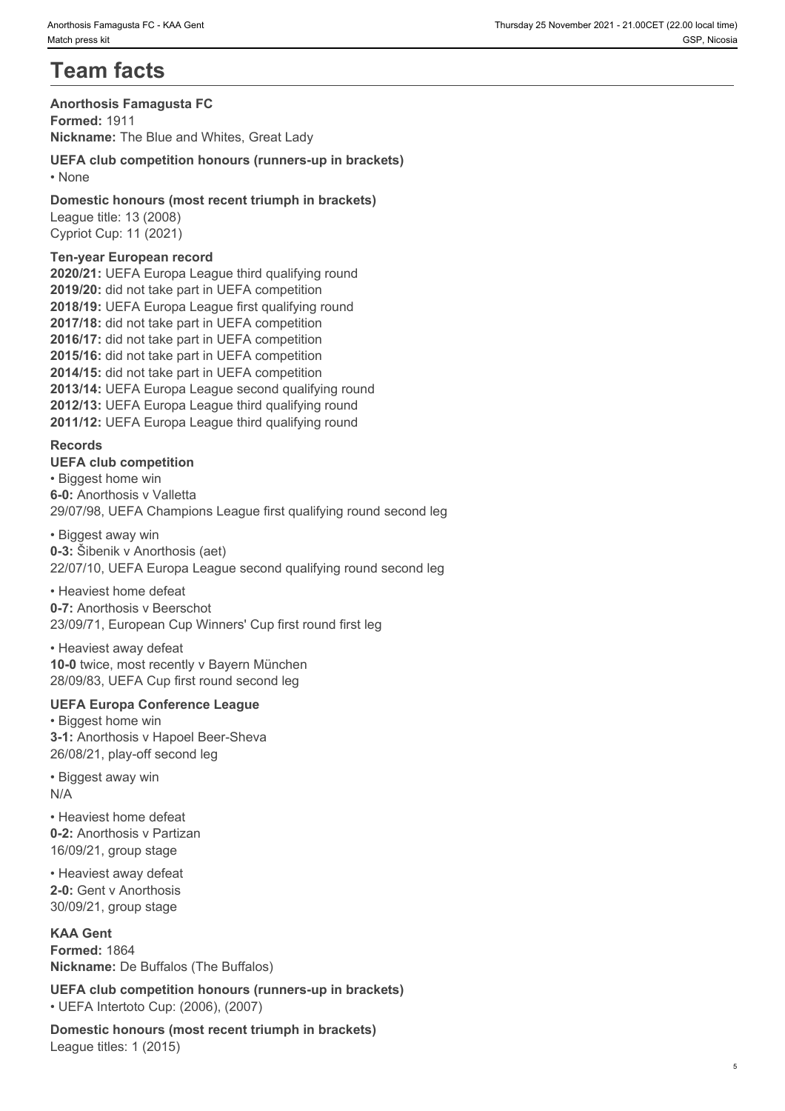# **Team facts**

#### **Anorthosis Famagusta FC**

**Formed:** 1911 **Nickname:** The Blue and Whites, Great Lady

#### **UEFA club competition honours (runners-up in brackets)** • None **blue** and **blue** and **blue** and **blue** and **blue** and **blue** and **blue** and **blue** and **blue** and **blue** and **blue** and **blue** and **blue** and **blue** and **blue** and **blue** and **blue** and **blue** and **blue** and **blue**

#### **Domestic honours (most recent triumph in brackets)** League title: 13 (2008)

Cypriot Cup: 11 (2021)

#### **Ten-year European record**

**2020/21:** UEFA Europa League third qualifying round **2019/20:** did not take part in UEFA competition **2018/19:** UEFA Europa League first qualifying round **2017/18:** did not take part in UEFA competition **2016/17:** did not take part in UEFA competition **2015/16:** did not take part in UEFA competition **2014/15:** did not take part in UEFA competition **2013/14:** UEFA Europa League second qualifying round **2012/13:** UEFA Europa League third qualifying round **2011/12:** UEFA Europa League third qualifying round

#### **Records**

**UEFA club competition** • Biggest home win **6-0:** Anorthosis v Valletta 29/07/98, UEFA Champions League first qualifying round second leg

• Biggest away win **0-3:** Šibenik v Anorthosis (aet) 22/07/10, UEFA Europa League second qualifying round second leg

• Heaviest home defeat **0-7:** Anorthosis v Beerschot 23/09/71, European Cup Winners' Cup first round first leg

• Heaviest away defeat **10-0** twice, most recently v Bayern München 28/09/83, UEFA Cup first round second leg

#### **UEFA Europa Conference League**

• Biggest home win **3-1:** Anorthosis v Hapoel Beer-Sheva 26/08/21, play-off second leg

• Biggest away win N/A

• Heaviest home defeat **0-2:** Anorthosis v Partizan 16/09/21, group stage

• Heaviest away defeat **2-0:** Gent v Anorthosis 30/09/21, group stage

#### **KAA Gent**

**Formed:** 1864 **Nickname:** De Buffalos (The Buffalos)

**UEFA club competition honours (runners-up in brackets)** • UEFA Intertoto Cup: (2006), (2007)

**Domestic honours (most recent triumph in brackets)** League titles: 1 (2015)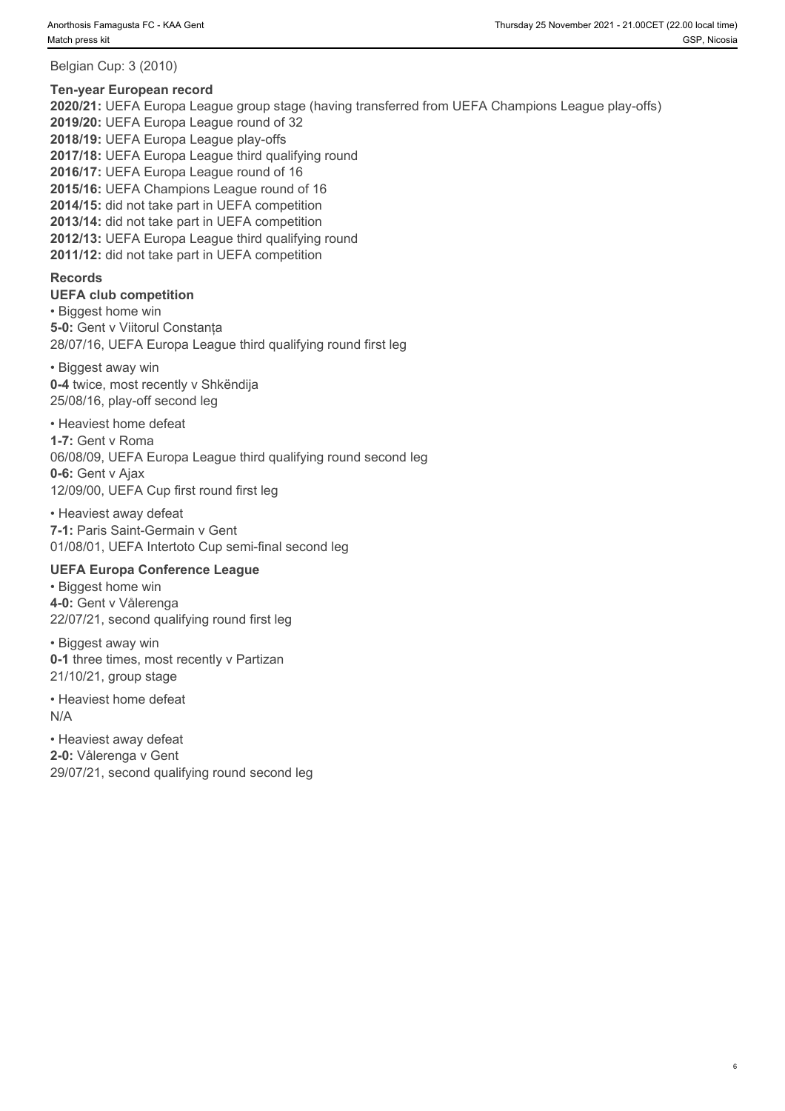Belgian Cup: 3 (2010)

#### **Ten-year European record**

**2020/21:** UEFA Europa League group stage (having transferred from UEFA Champions League play-offs) **2019/20:** UEFA Europa League round of 32 **2018/19:** UEFA Europa League play-offs **2017/18:** UEFA Europa League third qualifying round **2016/17:** UEFA Europa League round of 16 **2015/16:** UEFA Champions League round of 16 **2014/15:** did not take part in UEFA competition **2013/14:** did not take part in UEFA competition **2012/13:** UEFA Europa League third qualifying round **2011/12:** did not take part in UEFA competition

#### **Records**

**UEFA club competition**  • Biggest home win **5-0:** Gent v Viitorul Constanța 28/07/16, UEFA Europa League third qualifying round first leg

• Biggest away win **0-4** twice, most recently v Shkëndija 25/08/16, play-off second leg

• Heaviest home defeat

**1-7:** Gent v Roma 06/08/09, UEFA Europa League third qualifying round second leg **0-6:** Gent v Ajax 12/09/00, UEFA Cup first round first leg

• Heaviest away defeat **7-1:** Paris Saint-Germain v Gent 01/08/01, UEFA Intertoto Cup semi-final second leg

#### **UEFA Europa Conference League**

• Biggest home win **4-0:** Gent v Vålerenga 22/07/21, second qualifying round first leg

• Biggest away win **0-1** three times, most recently v Partizan 21/10/21, group stage

• Heaviest home defeat N/A

• Heaviest away defeat **2-0:** Vålerenga v Gent 29/07/21, second qualifying round second leg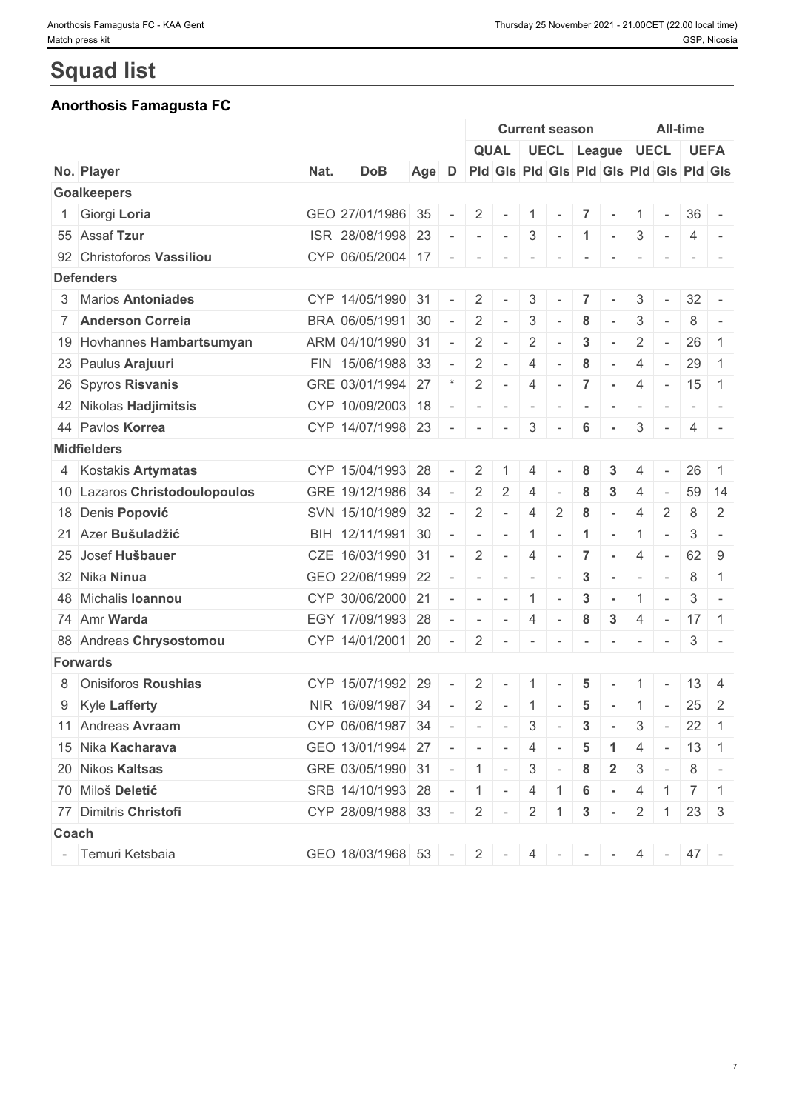# **Squad list**

## **Anorthosis Famagusta FC**

|                               |      |                                           |       |        |                          |                                         |                          | <b>Current season</b>    |                      |                  |                          |                          | <b>All-time</b>                                                 |                |
|-------------------------------|------|-------------------------------------------|-------|--------|--------------------------|-----------------------------------------|--------------------------|--------------------------|----------------------|------------------|--------------------------|--------------------------|-----------------------------------------------------------------|----------------|
|                               |      |                                           |       |        |                          | QUAL   UECL   League   UECL   UEFA      |                          |                          |                      |                  |                          |                          |                                                                 |                |
| No. Player                    | Nat. | <b>DoB</b>                                | Age D |        |                          | Pid Gis Pid Gis Pid Gis Pid Gis Pid Gis |                          |                          |                      |                  |                          |                          |                                                                 |                |
| <b>Goalkeepers</b>            |      |                                           |       |        |                          |                                         |                          |                          |                      |                  |                          |                          |                                                                 |                |
| 1 Giorgi Loria                |      | GEO 27/01/1986 35                         |       | $\sim$ | $2^{\circ}$              | $\sim$                                  | $\vert 1 \vert$ -        |                          | $\vert 7 \vert$      | $\sim$           |                          | $1 -$                    | $36 -$                                                          |                |
| 55 Assaf Tzur                 |      | ISR 28/08/1998 23                         |       |        | $\sim$                   | $\sim$                                  |                          | $3 -$                    | $\vert$ 1            | $\sim$           |                          | $3 -$                    | $\overline{4}$                                                  | $\sim$         |
| 92 Christoforos Vassiliou     |      | CYP 06/05/2004 17                         |       | $\sim$ | $\sim$                   | $\sim$                                  | $\overline{a}$           |                          |                      |                  |                          |                          |                                                                 |                |
| <b>Defenders</b>              |      |                                           |       |        |                          |                                         |                          |                          |                      |                  |                          |                          |                                                                 |                |
| 3 Marios Antoniades           |      | CYP 14/05/1990 31                         |       |        | 2                        |                                         | 3                        |                          | $\overline{7}$       |                  | 3                        | $\sim$                   | $32 -$                                                          |                |
| 7 Anderson Correia            |      | BRA 06/05/1991 30                         |       | $\sim$ | 2                        | $\sim$                                  | 3                        |                          | 8                    |                  | 3                        |                          | 8                                                               |                |
| 19 Hovhannes Hambartsumyan    |      | ARM 04/10/1990 31                         |       | $\sim$ | 2                        | $\bar{a}$                               | $\overline{2}$           |                          | $\mathbf{3}$         |                  | $\overline{2}$           | $\sim$                   | 26                                                              | $\overline{1}$ |
| 23 Paulus Arajuuri            |      | FIN   15/06/1988   33                     |       |        | 2                        | $\sim$                                  | 4                        |                          | 8                    | $\sim$           | $\overline{4}$           | $\sim$                   | 29                                                              | $\overline{1}$ |
| 26 Spyros Risvanis            |      | GRE 03/01/1994 27                         |       |        | 2                        | $\sim$                                  | $\overline{4}$           | $\sim$                   | $\overline{7}$       | $\sim$           | 4                        | $\sim$                   | $15 \quad 1$                                                    |                |
| 42 Nikolas Hadjimitsis        |      | CYP 10/09/2003 18                         |       |        | $\overline{\phantom{a}}$ | $\overline{\phantom{a}}$                | $\overline{\phantom{a}}$ |                          |                      |                  | $\overline{\phantom{a}}$ | $\overline{\phantom{a}}$ | $\sim$                                                          |                |
| 44 Pavlos Korrea              |      | CYP 14/07/1998 23                         |       | $\sim$ | $\sim$                   | $\overline{\phantom{a}}$                | 3                        |                          | 6                    | $\sim$           | 3                        | $\sim$ $-$               | 4                                                               | $\sim$         |
| <b>Midfielders</b>            |      |                                           |       |        |                          |                                         |                          |                          |                      |                  |                          |                          |                                                                 |                |
| 4 Kostakis Artymatas          |      | CYP 15/04/1993 28                         |       |        | 2                        |                                         | $\overline{4}$           |                          | 8                    |                  |                          |                          | 26                                                              | -1             |
| 10 Lazaros Christodoulopoulos |      | GRE 19/12/1986 34                         |       | $\sim$ | 2                        | 2                                       | $\overline{4}$           |                          | 8                    | 3                | $\overline{4}$           |                          | 59                                                              | 14             |
| 18 Denis Popović              |      | SVN 15/10/1989 32                         |       |        | 2                        | $\sim$                                  | 4                        | 2                        | 8                    |                  | $\overline{4}$           | 2                        | 8                                                               | $\overline{2}$ |
| 21 Azer Bušuladžić            |      | BIH 12/11/1991 30                         |       |        | $\sim$                   | $\sim$                                  | $\overline{1}$           | $\sim$                   | $\blacktriangleleft$ | $\sim$           | $\mathbf{1}$             | $\overline{\phantom{a}}$ | 3                                                               | $\bar{a}$      |
| 25 Josef Hušbauer             |      | CZE 16/03/1990 31                         |       | $\sim$ | 2                        | $\sim$                                  | $\overline{4}$           | $\sim$                   | $\overline{7}$       | $\sim$           | $\overline{4}$           | $\sim$                   | $62$ 9                                                          |                |
| 32 Nika Ninua                 |      | GEO 22/06/1999 22                         |       |        | $\sim$                   | $\sim$                                  | $\sim$                   |                          | $\mathbf{3}$         | $\sim$           | $\sim$                   |                          | 8                                                               | $\overline{1}$ |
| 48 Michalis Ioannou           |      | CYP 30/06/2000 21                         |       | $\sim$ | $\overline{a}$           | $\sim$                                  | $\pm$ 1 $\pm$            | $\sim$                   | $\mathbf{3}$         | $\sim$           | $\mathbf{1}$             | $\overline{\phantom{a}}$ | 3                                                               | $\sim$         |
| 74 Amr Warda                  |      | EGY 17/09/1993 28                         |       | $\sim$ | $\sim$                   | $\sim$                                  | 4                        | $\sim$                   | 8                    | $\mathbf{3}$     | $\overline{4}$           | $\sim$ $-$               | $17 \quad 1$                                                    |                |
| 88 Andreas Chrysostomou       |      | CYP 14/01/2001 20                         |       | $\sim$ | 2                        | $\sim$                                  | $\sim$                   | $\overline{\phantom{a}}$ | $\blacksquare$       | $\sim$           | $\overline{\phantom{a}}$ | $\sim$                   |                                                                 | $3 -$          |
| <b>Forwards</b>               |      |                                           |       |        |                          |                                         |                          |                          |                      |                  |                          |                          |                                                                 |                |
| 8 Onisiforos Roushias         |      | CYP 15/07/1992 29                         |       |        | 2                        |                                         |                          |                          | 5                    |                  |                          |                          | 13                                                              | $\overline{4}$ |
| 9 Kyle Lafferty               |      | NIR 16/09/1987 34                         |       |        | $\overline{2}$           | $\sim$                                  | 1                        | $\sim$                   | $5\phantom{1}$       | $\sim$           | $\mathbf{1}$             | $\sim$                   | $25 \quad 2$                                                    |                |
| 11 Andreas Avraam             |      | CYP 06/06/1987 34                         |       |        |                          | $\sim$ $ \sim$                          |                          | $3 -$                    | $\mathbf{3}$         |                  |                          |                          | $3 - 22$ 1                                                      |                |
| 15 Nika Kacharava             |      | GEO 13/01/1994 27                         |       |        |                          |                                         | 4                        |                          | 5                    |                  | 4                        |                          | $-13$ 1                                                         |                |
| 20 Nikos Kaltsas              |      | GRE 03/05/1990 31                         |       |        |                          | $-11 -$                                 |                          | $3 -$                    | 8                    | $\mathbf{2}$     | 3                        | $\sim$ $-$               |                                                                 | $8 -$          |
| 70 Miloš Deletić              |      | SRB 14/10/1993 28                         |       |        | $\vert 1 \vert$ -        |                                         | 4                        |                          | 6                    | $\sim$           | 4                        |                          | $\begin{array}{c c c c c c c c c} \hline 1 & 7 & 1 \end{array}$ |                |
| 77 Dimitris Christofi         |      | CYP 28/09/1988 33                         |       |        |                          | $-2$ $-$                                |                          | $2 \mid 1$               | 3                    | $\sim$ 100 $\pm$ |                          | $2 \mid 1 \mid$          | $23 \mid 3$                                                     |                |
| Coach                         |      |                                           |       |        |                          |                                         |                          |                          |                      |                  |                          |                          |                                                                 |                |
| - Temuri Ketsbaia             |      |                                           |       |        |                          |                                         |                          |                          |                      |                  |                          |                          |                                                                 |                |
|                               |      | GEO 18/03/1968 53 - 2 - 4 - - - 4 - 4 - 4 |       |        |                          |                                         |                          |                          |                      |                  |                          |                          |                                                                 |                |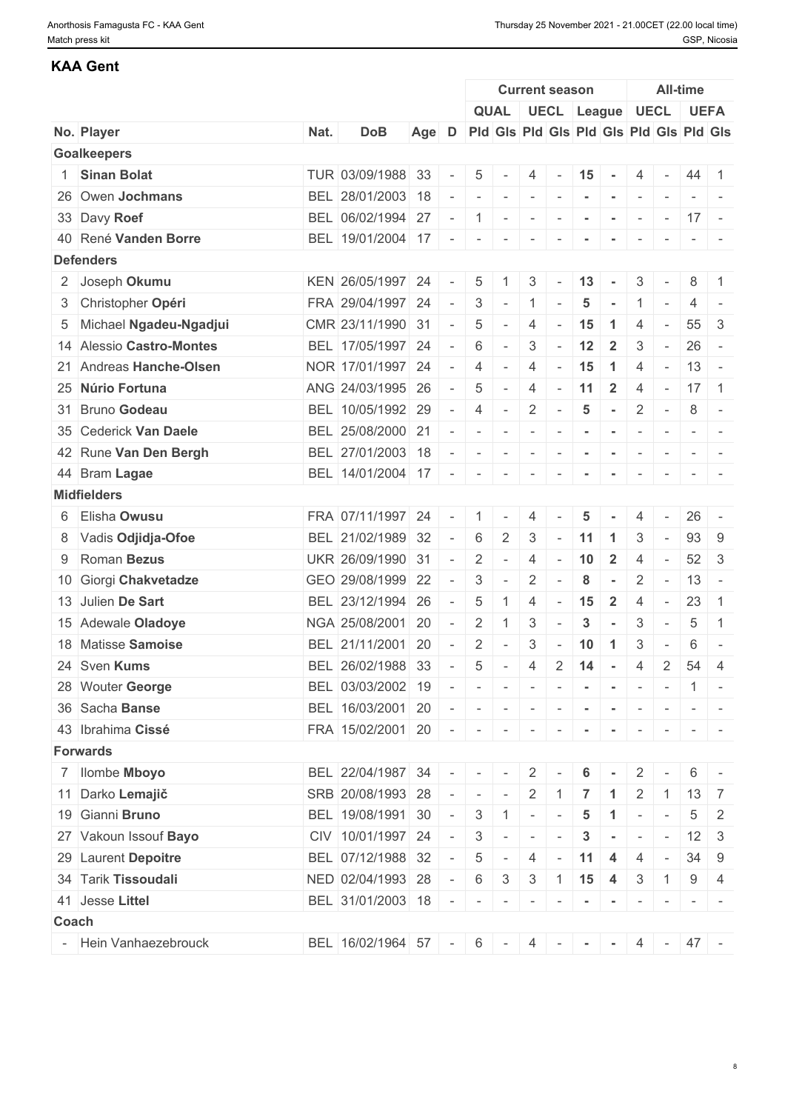### **KAA Gent**

|       |                          |      |                       |     |                          |                                                                                                                                                                                                                                                                                                                                                                                                                                                            |                                                                                                                                                                                                                                                                                                                                                                                                                                   |                          | <b>Current season</b>    |                                                        |                         |                                                                                         | <b>All-time</b>          |                                                                                   |                |
|-------|--------------------------|------|-----------------------|-----|--------------------------|------------------------------------------------------------------------------------------------------------------------------------------------------------------------------------------------------------------------------------------------------------------------------------------------------------------------------------------------------------------------------------------------------------------------------------------------------------|-----------------------------------------------------------------------------------------------------------------------------------------------------------------------------------------------------------------------------------------------------------------------------------------------------------------------------------------------------------------------------------------------------------------------------------|--------------------------|--------------------------|--------------------------------------------------------|-------------------------|-----------------------------------------------------------------------------------------|--------------------------|-----------------------------------------------------------------------------------|----------------|
|       |                          |      |                       |     |                          |                                                                                                                                                                                                                                                                                                                                                                                                                                                            |                                                                                                                                                                                                                                                                                                                                                                                                                                   |                          |                          | QUAL UECL League UECL UEFA                             |                         |                                                                                         |                          |                                                                                   |                |
|       | No. Player               | Nat. | <b>DoB</b>            | Age | D                        |                                                                                                                                                                                                                                                                                                                                                                                                                                                            |                                                                                                                                                                                                                                                                                                                                                                                                                                   |                          |                          | Pid Gis Pid Gis Pid Gis Pid Gis Pid Gis                |                         |                                                                                         |                          |                                                                                   |                |
|       | <b>Goalkeepers</b>       |      |                       |     |                          |                                                                                                                                                                                                                                                                                                                                                                                                                                                            |                                                                                                                                                                                                                                                                                                                                                                                                                                   |                          |                          |                                                        |                         |                                                                                         |                          |                                                                                   |                |
|       | 1 Sinan Bolat            |      | TUR 03/09/1988 33     |     |                          | 5                                                                                                                                                                                                                                                                                                                                                                                                                                                          |                                                                                                                                                                                                                                                                                                                                                                                                                                   | 4                        | $\overline{\phantom{a}}$ | 15                                                     | $\sim$                  | 4                                                                                       | $\sim$                   | 44 1                                                                              |                |
|       | 26 Owen Jochmans         |      | BEL 28/01/2003 18     |     |                          | $\sim$                                                                                                                                                                                                                                                                                                                                                                                                                                                     | $\sim$                                                                                                                                                                                                                                                                                                                                                                                                                            | $\mathbf{r}$             |                          | $\mathcal{L} = \{ \mathcal{L} \mid \mathcal{L} = 0 \}$ | $\sim$ 100 $-$          |                                                                                         | $\sim$                   | $\sim$ 100 $\sim$ 100 $\sim$                                                      |                |
|       | 33 Davy Roef             |      | BEL 06/02/1994 27     |     | $\overline{\phantom{a}}$ | 1                                                                                                                                                                                                                                                                                                                                                                                                                                                          | $\sim$                                                                                                                                                                                                                                                                                                                                                                                                                            | $\sim$                   | $\sim$                   | $\overline{\phantom{a}}$                               | $\sim$                  | $\sim$                                                                                  | $\sim$                   | $ 17 $ -                                                                          |                |
|       | 40 René Vanden Borre     |      | BEL 19/01/2004 17     |     | $\sim$                   | $\sim$                                                                                                                                                                                                                                                                                                                                                                                                                                                     | $\sim$                                                                                                                                                                                                                                                                                                                                                                                                                            | $\overline{\phantom{a}}$ |                          |                                                        |                         |                                                                                         |                          |                                                                                   |                |
|       | <b>Defenders</b>         |      |                       |     |                          |                                                                                                                                                                                                                                                                                                                                                                                                                                                            |                                                                                                                                                                                                                                                                                                                                                                                                                                   |                          |                          |                                                        |                         |                                                                                         |                          |                                                                                   |                |
|       | 2 Joseph Okumu           |      | KEN 26/05/1997 24     |     |                          | 5                                                                                                                                                                                                                                                                                                                                                                                                                                                          |                                                                                                                                                                                                                                                                                                                                                                                                                                   | 3                        |                          | 13                                                     | $\sim$                  | 3                                                                                       |                          | 8                                                                                 | $\overline{1}$ |
|       | 3 Christopher Opéri      |      | FRA 29/04/1997 24     |     | $\equiv$                 | 3                                                                                                                                                                                                                                                                                                                                                                                                                                                          | $\sim$                                                                                                                                                                                                                                                                                                                                                                                                                            | -1                       |                          | 5                                                      |                         |                                                                                         |                          | 4                                                                                 |                |
|       | 5 Michael Ngadeu-Ngadjui |      | CMR 23/11/1990 31     |     |                          | 5                                                                                                                                                                                                                                                                                                                                                                                                                                                          | $\sim$                                                                                                                                                                                                                                                                                                                                                                                                                            | $\overline{4}$           |                          | 15                                                     | $\blacktriangleleft$    | $\overline{4}$                                                                          | $\sim$                   | 55                                                                                | -3             |
|       | 14 Alessio Castro-Montes |      | BEL 17/05/1997 24     |     |                          | 6                                                                                                                                                                                                                                                                                                                                                                                                                                                          | $\sim$                                                                                                                                                                                                                                                                                                                                                                                                                            | 3                        | $\sim$                   | 12                                                     | $\overline{2}$          | 3                                                                                       | $\sim$                   | 26                                                                                | $\sim$ $-$     |
|       | 21 Andreas Hanche-Olsen  |      | NOR 17/01/1997 24     |     | $\sim$                   | $\overline{4}$                                                                                                                                                                                                                                                                                                                                                                                                                                             | $\sim$                                                                                                                                                                                                                                                                                                                                                                                                                            | $\overline{4}$           | $\sim$                   | 15                                                     | $\blacktriangleleft$    | 4                                                                                       | $\sim$                   | $13 -$                                                                            |                |
|       | 25 Núrio Fortuna         |      | ANG 24/03/1995 26     |     | $\overline{\phantom{a}}$ | 5                                                                                                                                                                                                                                                                                                                                                                                                                                                          | $\sim$                                                                                                                                                                                                                                                                                                                                                                                                                            | 4                        | $\overline{\phantom{a}}$ | 11                                                     | $\overline{2}$          | $\overline{4}$                                                                          | $\sim$                   | $17 \quad 1$                                                                      |                |
|       | 31 Bruno Godeau          |      | BEL 10/05/1992 29     |     |                          | $\overline{4}$                                                                                                                                                                                                                                                                                                                                                                                                                                             | $\sim$                                                                                                                                                                                                                                                                                                                                                                                                                            | $\overline{2}$           |                          | $\overline{\mathbf{5}}$                                | $\sim$                  | $\overline{2}$                                                                          | $\sim$                   | 8                                                                                 | $\sim$         |
|       | 35 Cederick Van Daele    |      | BEL 25/08/2000 21     |     |                          | $ \,$                                                                                                                                                                                                                                                                                                                                                                                                                                                      | $\overline{\phantom{a}}$                                                                                                                                                                                                                                                                                                                                                                                                          | $\sim$                   | $\sim$                   | $\blacksquare$                                         | $\sim$                  | $\sim$                                                                                  | $\sim$                   | $\frac{1}{2} \left( \frac{1}{2} \right) \left( \frac{1}{2} \right) = \frac{1}{2}$ |                |
|       | 42 Rune Van Den Bergh    |      | BEL 27/01/2003 18     |     | $\overline{\phantom{a}}$ | $\overline{\phantom{a}}$                                                                                                                                                                                                                                                                                                                                                                                                                                   | $\sim$                                                                                                                                                                                                                                                                                                                                                                                                                            | $\sim$                   |                          |                                                        |                         |                                                                                         |                          |                                                                                   |                |
|       | 44 Bram Lagae            |      | BEL 14/01/2004 17     |     | $\sim$                   | $\sim$                                                                                                                                                                                                                                                                                                                                                                                                                                                     | $\sim$                                                                                                                                                                                                                                                                                                                                                                                                                            | $\sim$                   | $\overline{\phantom{a}}$ | $\sim$                                                 | $\sim$                  | $\overline{\phantom{a}}$                                                                |                          |                                                                                   |                |
|       | <b>Midfielders</b>       |      |                       |     |                          |                                                                                                                                                                                                                                                                                                                                                                                                                                                            |                                                                                                                                                                                                                                                                                                                                                                                                                                   |                          |                          |                                                        |                         |                                                                                         |                          |                                                                                   |                |
|       | 6 Elisha Owusu           |      | FRA 07/11/1997 24     |     |                          |                                                                                                                                                                                                                                                                                                                                                                                                                                                            |                                                                                                                                                                                                                                                                                                                                                                                                                                   | 4                        |                          | 5                                                      |                         |                                                                                         |                          | 26                                                                                |                |
|       | 8 Vadis Odjidja-Ofoe     |      | BEL 21/02/1989 32     |     | $\overline{\phantom{a}}$ | 6                                                                                                                                                                                                                                                                                                                                                                                                                                                          | $\overline{2}$                                                                                                                                                                                                                                                                                                                                                                                                                    | 3                        |                          | 11                                                     | $\blacktriangleleft$    | 3                                                                                       | $\overline{\phantom{a}}$ | 93                                                                                | - 9            |
|       | 9 Roman Bezus            |      | UKR 26/09/1990 31     |     | $\equiv$                 | $\overline{2}$                                                                                                                                                                                                                                                                                                                                                                                                                                             | $\sim$                                                                                                                                                                                                                                                                                                                                                                                                                            | $\overline{4}$           | $\overline{\phantom{a}}$ | 10                                                     | $\overline{\mathbf{2}}$ | $\overline{4}$                                                                          | $\sim$                   | $52 \mid 3$                                                                       |                |
|       | 10 Giorgi Chakvetadze    |      | GEO 29/08/1999 22     |     |                          | 3                                                                                                                                                                                                                                                                                                                                                                                                                                                          | $\overline{\phantom{a}}$                                                                                                                                                                                                                                                                                                                                                                                                          | $\overline{2}$           |                          | 8                                                      |                         | $\overline{2}$                                                                          | $\overline{\phantom{a}}$ | $13 -$                                                                            |                |
|       | 13 Julien De Sart        |      | BEL 23/12/1994 26     |     |                          | $\overline{5}$                                                                                                                                                                                                                                                                                                                                                                                                                                             |                                                                                                                                                                                                                                                                                                                                                                                                                                   | $\overline{4}$           |                          | 15                                                     | $\overline{2}$          | 4                                                                                       | $\sim$                   | 23                                                                                | $\overline{1}$ |
|       | 15 Adewale Oladoye       |      | NGA 25/08/2001 20     |     |                          | $\overline{2}$                                                                                                                                                                                                                                                                                                                                                                                                                                             | $\mathbf{1}$                                                                                                                                                                                                                                                                                                                                                                                                                      | 3                        |                          | $\mathbf{3}$                                           | $\sim$                  | 3                                                                                       | $\sim$                   | 5                                                                                 | $\overline{1}$ |
|       | 18 Matisse Samoise       |      | BEL 21/11/2001 20     |     | $\overline{\phantom{a}}$ | $\overline{2}$                                                                                                                                                                                                                                                                                                                                                                                                                                             | $\overline{\phantom{a}}$                                                                                                                                                                                                                                                                                                                                                                                                          | 3                        |                          | 10                                                     | $\mathbf{1}$            | 3                                                                                       |                          | 6                                                                                 | $\sim$         |
|       | 24 Sven Kums             |      | BEL 26/02/1988 33     |     |                          | 5                                                                                                                                                                                                                                                                                                                                                                                                                                                          | $\overline{\phantom{a}}$                                                                                                                                                                                                                                                                                                                                                                                                          | 4                        | $\overline{2}$           | 14                                                     | $\sim$                  | $\overline{4}$                                                                          | 2                        | 54                                                                                | $\overline{4}$ |
|       | 28 Wouter George         |      | BEL 03/03/2002 19     |     |                          |                                                                                                                                                                                                                                                                                                                                                                                                                                                            |                                                                                                                                                                                                                                                                                                                                                                                                                                   |                          |                          | .                                                      |                         |                                                                                         |                          | $1 -$                                                                             |                |
|       | 36 Sacha Banse           |      | BEL 16/03/2001 20     |     |                          |                                                                                                                                                                                                                                                                                                                                                                                                                                                            | $\label{eq:2.1} \begin{array}{cccccccccc} \mathbf{1} & \mathbf{1} & \mathbf{1} & \mathbf{1} & \mathbf{1} & \mathbf{1} & \mathbf{1} & \mathbf{1} & \mathbf{1} & \mathbf{1} & \mathbf{1} & \mathbf{1} & \mathbf{1} & \mathbf{1} & \mathbf{1} & \mathbf{1} & \mathbf{1} & \mathbf{1} & \mathbf{1} & \mathbf{1} & \mathbf{1} & \mathbf{1} & \mathbf{1} & \mathbf{1} & \mathbf{1} & \mathbf{1} & \mathbf{1} & \mathbf{1} & \mathbf{1}$ |                          | $\sim$                   | $\sim$                                                 |                         |                                                                                         |                          |                                                                                   |                |
|       | 43 Ibrahima Cissé        |      | FRA 15/02/2001 20     |     |                          |                                                                                                                                                                                                                                                                                                                                                                                                                                                            |                                                                                                                                                                                                                                                                                                                                                                                                                                   |                          | $\sim$                   | $\blacksquare$                                         | $\sim$                  | $\sim$                                                                                  | $\sim$                   |                                                                                   |                |
|       | <b>Forwards</b>          |      |                       |     |                          |                                                                                                                                                                                                                                                                                                                                                                                                                                                            |                                                                                                                                                                                                                                                                                                                                                                                                                                   |                          |                          |                                                        |                         |                                                                                         |                          |                                                                                   |                |
|       | 7 Ilombe Mboyo           |      | BEL 22/04/1987 34     |     |                          | $\label{eq:2.1} \begin{array}{lllllllllllllll} \mathbf{1}_{\mathbf{1}_{\mathbf{1}_{\mathbf{1}_{\mathbf{1}}}}\left\ \mathbf{1}_{\mathbf{1}_{\mathbf{1}_{\mathbf{1}}}}\right\  & = & \mathbf{1}_{\mathbf{1}_{\mathbf{1}_{\mathbf{1}}}}\left\ \mathbf{1}_{\mathbf{1}_{\mathbf{1}_{\mathbf{1}}}}\right\  \\ \mathbf{1}_{\mathbf{1}_{\mathbf{1}_{\mathbf{1}}}}\left\ \mathbf{1}_{\mathbf{1}_{\mathbf{1}_{\mathbf{1}}}}\right\  & = & \mathbf{1}_{\mathbf{1}_{\$ |                                                                                                                                                                                                                                                                                                                                                                                                                                   | $2 \mid$                 |                          | 6                                                      |                         | $\overline{2}$                                                                          |                          | 6                                                                                 | $\sim$         |
|       | 11 Darko Lemajič         |      | SRB 20/08/1993 28     |     | $ -$                     | $\sim$                                                                                                                                                                                                                                                                                                                                                                                                                                                     | $\sim$                                                                                                                                                                                                                                                                                                                                                                                                                            | $\overline{2}$           |                          |                                                        | -1                      | $\overline{2}$                                                                          |                          | $13 \mid 7$                                                                       |                |
|       | 19 Gianni Bruno          |      | BEL 19/08/1991 30     |     | $\sim$                   | $\mathbf{3}$                                                                                                                                                                                                                                                                                                                                                                                                                                               | $\mathbf{1}$                                                                                                                                                                                                                                                                                                                                                                                                                      | $\sim$                   |                          | $\sqrt{5}$                                             | $\blacktriangleleft$    | $\overline{\phantom{a}}$                                                                | $\sim$                   | 5                                                                                 | 2              |
|       | 27 Vakoun Issouf Bayo    |      | CIV   10/01/1997   24 |     | $\sim$                   | $\mathbf{3}$                                                                                                                                                                                                                                                                                                                                                                                                                                               | $\sim$                                                                                                                                                                                                                                                                                                                                                                                                                            | $\vert \cdot \vert$      | $\sim$                   | $\mathbf{3}$                                           | $\sim$                  | $\begin{array}{cccccccccc} \bullet & \bullet & \bullet & \bullet & \bullet \end{array}$ |                          | $12 \mid 3$                                                                       |                |
|       | 29 Laurent Depoitre      |      | BEL 07/12/1988 32     |     |                          | $\overline{5}$                                                                                                                                                                                                                                                                                                                                                                                                                                             | $\overline{\phantom{a}}$                                                                                                                                                                                                                                                                                                                                                                                                          | 4                        | $\sim$                   | 11                                                     | 4                       | 4                                                                                       | $\sim$ $-$               | $34 \mid 9$                                                                       |                |
|       | 34 Tarik Tissoudali      |      | NED 02/04/1993 28     |     | $\sim$                   | 6                                                                                                                                                                                                                                                                                                                                                                                                                                                          | 3                                                                                                                                                                                                                                                                                                                                                                                                                                 | $\mathbf{3}$             |                          | $1 \quad 15$                                           | $\overline{4}$          | 3                                                                                       | $\overline{1}$           | 9                                                                                 | 4              |
|       | 41 Jesse Littel          |      | BEL 31/01/2003 18     |     |                          |                                                                                                                                                                                                                                                                                                                                                                                                                                                            |                                                                                                                                                                                                                                                                                                                                                                                                                                   |                          |                          |                                                        |                         |                                                                                         |                          |                                                                                   |                |
| Coach |                          |      |                       |     |                          |                                                                                                                                                                                                                                                                                                                                                                                                                                                            |                                                                                                                                                                                                                                                                                                                                                                                                                                   |                          | $\sim$ 10 $\pm$          | $\sim$                                                 | $\sim$ $-$              | $\sim$ $-$                                                                              |                          | $ -$                                                                              |                |
|       | - Hein Vanhaezebrouck    |      |                       |     |                          |                                                                                                                                                                                                                                                                                                                                                                                                                                                            |                                                                                                                                                                                                                                                                                                                                                                                                                                   |                          |                          |                                                        |                         |                                                                                         |                          | $4 - 47 -$                                                                        |                |
|       |                          |      | BEL 16/02/1964 57 - 6 |     |                          |                                                                                                                                                                                                                                                                                                                                                                                                                                                            | $\sim$                                                                                                                                                                                                                                                                                                                                                                                                                            | $\overline{4}$           |                          | the project                                            | $\sim$                  |                                                                                         |                          |                                                                                   |                |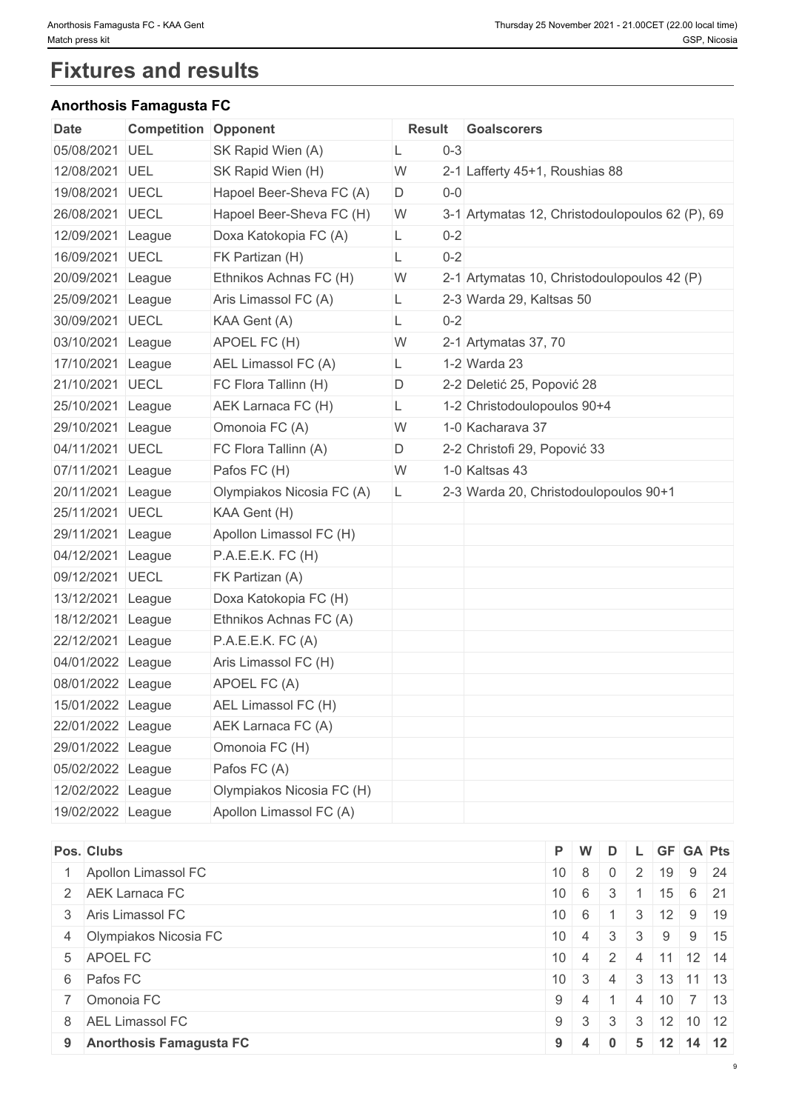# **Fixtures and results**

## **Anorthosis Famagusta FC**

| Date              | <b>Competition Opponent</b> |                           | <b>Result</b> |         | Goalscorers                                     |
|-------------------|-----------------------------|---------------------------|---------------|---------|-------------------------------------------------|
| 05/08/2021 UEL    |                             | SK Rapid Wien (A)         |               | $0 - 3$ |                                                 |
| 12/08/2021 UEL    |                             | SK Rapid Wien (H)         | W             |         | 2-1 Lafferty 45+1, Roushias 88                  |
| 19/08/2021 UECL   |                             | Hapoel Beer-Sheva FC (A)  | D             | $0-0$   |                                                 |
| 26/08/2021 UECL   |                             | Hapoel Beer-Sheva FC (H)  | W             |         | 3-1 Artymatas 12, Christodoulopoulos 62 (P), 69 |
| 12/09/2021 League |                             | Doxa Katokopia FC (A)     | L.            | $0 - 2$ |                                                 |
| 16/09/2021 UECL   |                             | FK Partizan (H)           | L             | $0 - 2$ |                                                 |
| 20/09/2021 League |                             | Ethnikos Achnas FC (H)    | W             |         | 2-1 Artymatas 10, Christodoulopoulos 42 (P)     |
| 25/09/2021 League |                             | Aris Limassol FC (A)      | L             |         | 2-3 Warda 29, Kaltsas 50                        |
| 30/09/2021 UECL   |                             | KAA Gent (A)              | L             | $0 - 2$ |                                                 |
| 03/10/2021 League |                             | APOEL FC (H)              | W             |         | 2-1 Artymatas 37, 70                            |
| 17/10/2021 League |                             | AEL Limassol FC (A)       | L.            |         | 1-2 Warda 23                                    |
| 21/10/2021 UECL   |                             | FC Flora Tallinn (H)      | D             |         | 2-2 Deletić 25, Popović 28                      |
| 25/10/2021 League |                             | AEK Larnaca FC (H)        | L             |         | 1-2 Christodoulopoulos 90+4                     |
| 29/10/2021 League |                             | Omonoia FC (A)            | W             |         | 1-0 Kacharava 37                                |
| 04/11/2021 UECL   |                             | FC Flora Tallinn (A)      | D             |         | 2-2 Christofi 29, Popović 33                    |
| 07/11/2021 League |                             | Pafos FC (H)              | W             |         | 1-0 Kaltsas 43                                  |
| 20/11/2021 League |                             | Olympiakos Nicosia FC (A) | L.            |         | 2-3 Warda 20, Christodoulopoulos 90+1           |
| 25/11/2021 UECL   |                             | KAA Gent (H)              |               |         |                                                 |
| 29/11/2021 League |                             | Apollon Limassol FC (H)   |               |         |                                                 |
| 04/12/2021 League |                             | P.A.E.E.K. FC (H)         |               |         |                                                 |
| 09/12/2021 UECL   |                             | FK Partizan (A)           |               |         |                                                 |
| 13/12/2021 League |                             | Doxa Katokopia FC (H)     |               |         |                                                 |
| 18/12/2021 League |                             | Ethnikos Achnas FC (A)    |               |         |                                                 |
| 22/12/2021 League |                             | P.A.E.E.K. FC (A)         |               |         |                                                 |
| 04/01/2022 League |                             | Aris Limassol FC (H)      |               |         |                                                 |
| 08/01/2022 League |                             | APOEL FC (A)              |               |         |                                                 |
| 15/01/2022 League |                             | AEL Limassol FC (H)       |               |         |                                                 |
| 22/01/2022 League |                             | AEK Larnaca FC (A)        |               |         |                                                 |
| 29/01/2022 League |                             | Omonoia FC (H)            |               |         |                                                 |
| 05/02/2022 League |                             | Pafos FC (A)              |               |         |                                                 |
| 12/02/2022 League |                             | Olympiakos Nicosia FC (H) |               |         |                                                 |
| 19/02/2022 League |                             | Apollon Limassol FC (A)   |               |         |                                                 |

| Pos. Clubs                | P W                                               |                      | D            | L GF GA Pts                          |                             |  |
|---------------------------|---------------------------------------------------|----------------------|--------------|--------------------------------------|-----------------------------|--|
| 1 Apollon Limassol FC     | $10 \mid 8 \mid 0$                                |                      |              | 2   19   9   24                      |                             |  |
| 2 AEK Larnaca FC          | $10 \quad 6 \quad 3$                              |                      |              |                                      | $15 \t6 \t21$               |  |
| 3 Aris Limassol FC        | $10 \ 6 \ 1$                                      |                      |              | $4$   3   .                          | $12$ 9 19                   |  |
| 4 Olympiakos Nicosia FC   | $10 \mid 4 \mid 3 \mid$                           |                      |              | 3 <sup>1</sup>                       | $9 \mid 9 \mid 15$          |  |
| 5 APOEL FC                | $10 \mid 4 \mid 2 \mid 4 \mid 11 \mid 12 \mid 14$ |                      |              |                                      |                             |  |
| 6 Pafos FC                |                                                   | $10 \quad 3 \quad 4$ |              | $\vert 3 \vert 13 \vert 11 \vert 13$ |                             |  |
| 7 Omonoia FC              |                                                   | $9 \mid 4 \mid 1$    |              | $\vert$ 4                            | $10$ 7 13                   |  |
| 8 AEL Limassol FC         |                                                   | $9 \mid 3 \mid 3$    |              |                                      | $3 \mid 12 \mid 10 \mid 12$ |  |
| 9 Anorthosis Famagusta FC | $9 \mid 4$                                        |                      | $\mathbf{0}$ |                                      | $5 \mid 12 \mid 14 \mid 12$ |  |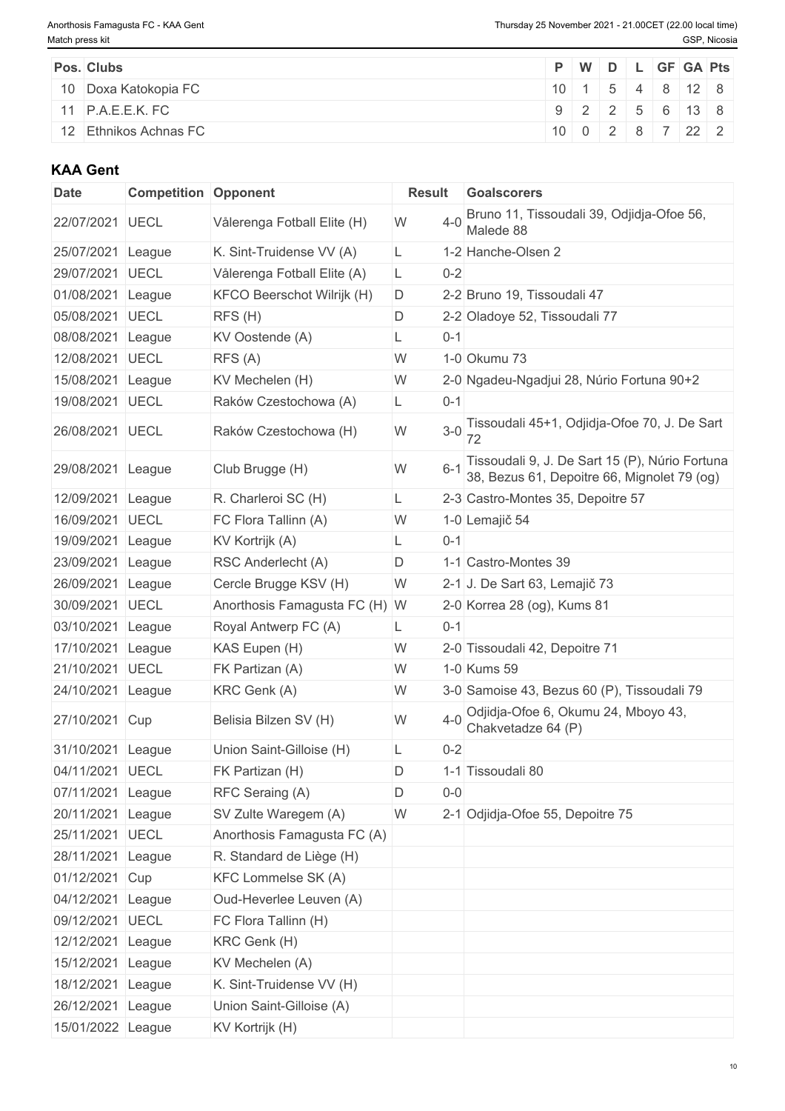| Pos. Clubs              |  |  | P   W   D   L   GF   GA   Pts                       |  |
|-------------------------|--|--|-----------------------------------------------------|--|
| 10 Doxa Katokopia FC    |  |  | $10 \mid 1 \mid 5 \mid 4 \mid 8 \mid 12 \mid 8$     |  |
| 11 P.A.E.E.K. FC        |  |  | $9 \mid 2 \mid 2 \mid 5 \mid 6 \mid 13 \mid 8 \mid$ |  |
| │ 12 Ethnikos Achnas FC |  |  | 1000287222                                          |  |

## **KAA Gent**

| <b>Date</b>       | <b>Competition Opponent</b> |                               | <b>Result</b> | <b>Goalscorers</b>                                                                            |
|-------------------|-----------------------------|-------------------------------|---------------|-----------------------------------------------------------------------------------------------|
| 22/07/2021 UECL   |                             | Vålerenga Fotball Elite (H)   | $4 - 0$<br>W  | Bruno 11, Tissoudali 39, Odjidja-Ofoe 56,<br>Malede 88                                        |
| 25/07/2021        | League                      | K. Sint-Truidense VV (A)      | L             | 1-2 Hanche-Olsen 2                                                                            |
| 29/07/2021        | <b>UECL</b>                 | Vålerenga Fotball Elite (A)   | $0 - 2$<br>L. |                                                                                               |
| 01/08/2021        | League                      | KFCO Beerschot Wilrijk (H)    | D.            | 2-2 Bruno 19, Tissoudali 47                                                                   |
| 05/08/2021        | <b>UECL</b>                 | RFS(H)                        | D             | 2-2 Oladoye 52, Tissoudali 77                                                                 |
| 08/08/2021        | League                      | KV Oostende (A)               | $0 - 1$<br>L  |                                                                                               |
| 12/08/2021        | <b>UECL</b>                 | RFS (A)                       | W             | 1-0 Okumu 73                                                                                  |
| 15/08/2021        | League                      | KV Mechelen (H)               | W             | 2-0 Ngadeu-Ngadjui 28, Núrio Fortuna 90+2                                                     |
| 19/08/2021        | <b>UECL</b>                 | Raków Czestochowa (A)         | $0 - 1$<br>L. |                                                                                               |
| 26/08/2021 UECL   |                             | Raków Czestochowa (H)         | $3-0$<br>W    | Tissoudali 45+1, Odjidja-Ofoe 70, J. De Sart                                                  |
| 29/08/2021        | League                      | Club Brugge (H)               | $6 - 1$<br>W  | Tissoudali 9, J. De Sart 15 (P), Núrio Fortuna<br>38, Bezus 61, Depoitre 66, Mignolet 79 (og) |
| 12/09/2021 League |                             | R. Charleroi SC (H)           | L             | 2-3 Castro-Montes 35, Depoitre 57                                                             |
| 16/09/2021        | <b>UECL</b>                 | FC Flora Tallinn (A)          | W             | 1-0 Lemajič 54                                                                                |
| 19/09/2021        | League                      | KV Kortrijk (A)               | $0 - 1$<br>L  |                                                                                               |
| 23/09/2021        | League                      | RSC Anderlecht (A)            | D             | 1-1 Castro-Montes 39                                                                          |
| 26/09/2021        | League                      | Cercle Brugge KSV (H)         | W             | 2-1 J. De Sart 63, Lemajič 73                                                                 |
| 30/09/2021 UECL   |                             | Anorthosis Famagusta FC (H) W |               | 2-0 Korrea 28 (og), Kums 81                                                                   |
| 03/10/2021        | League                      | Royal Antwerp FC (A)          | $0 - 1$<br>L. |                                                                                               |
| 17/10/2021        | League                      | KAS Eupen (H)                 | W             | 2-0 Tissoudali 42, Depoitre 71                                                                |
| 21/10/2021 UECL   |                             | FK Partizan (A)               | W             | 1-0 Kums 59                                                                                   |
| 24/10/2021        | League                      | KRC Genk (A)                  | W             | 3-0 Samoise 43, Bezus 60 (P), Tissoudali 79                                                   |
| 27/10/2021 Cup    |                             | Belisia Bilzen SV (H)         | $4 - 0$<br>W  | Odjidja-Ofoe 6, Okumu 24, Mboyo 43,<br>Chakvetadze 64 (P)                                     |
| 31/10/2021        | League                      | Union Saint-Gilloise (H)      | $0 - 2$<br>L  |                                                                                               |
| 04/11/2021 UECL   |                             | FK Partizan (H)               | D             | 1-1 Tissoudali 80                                                                             |
| 07/11/2021 League |                             | RFC Seraing (A)               | D<br>$0-0$    |                                                                                               |
| 20/11/2021 League |                             | SV Zulte Waregem (A)          | W             | 2-1 Odjidja-Ofoe 55, Depoitre 75                                                              |
| 25/11/2021 UECL   |                             | Anorthosis Famagusta FC (A)   |               |                                                                                               |
| 28/11/2021 League |                             | R. Standard de Liège (H)      |               |                                                                                               |
| 01/12/2021 Cup    |                             | <b>KFC Lommelse SK (A)</b>    |               |                                                                                               |
| 04/12/2021 League |                             | Oud-Heverlee Leuven (A)       |               |                                                                                               |
| 09/12/2021 UECL   |                             | FC Flora Tallinn (H)          |               |                                                                                               |
| 12/12/2021 League |                             | KRC Genk (H)                  |               |                                                                                               |
| 15/12/2021 League |                             | KV Mechelen (A)               |               |                                                                                               |
| 18/12/2021 League |                             | K. Sint-Truidense VV (H)      |               |                                                                                               |
| 26/12/2021 League |                             | Union Saint-Gilloise (A)      |               |                                                                                               |
| 15/01/2022 League |                             | KV Kortrijk (H)               |               |                                                                                               |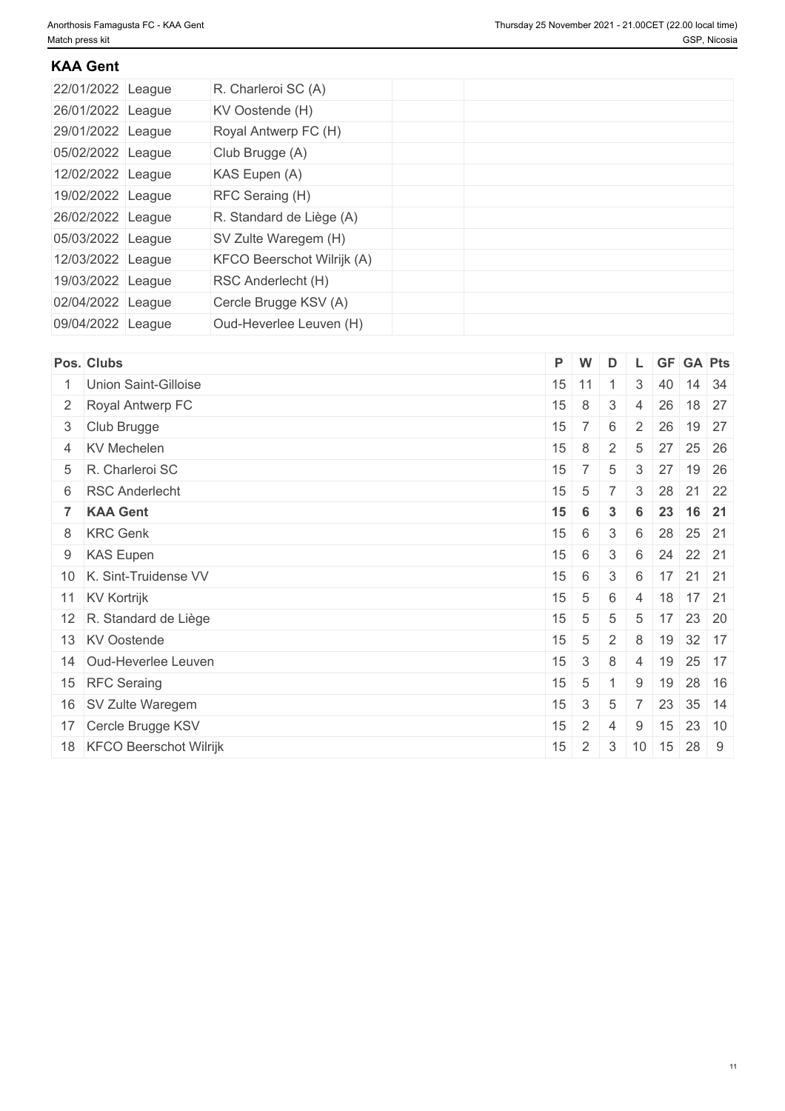## **KAA Gent**

| 22/01/2022 League | R. Charleroi SC (A)        |  |  |  |
|-------------------|----------------------------|--|--|--|
| 26/01/2022 League | KV Oostende (H)            |  |  |  |
| 29/01/2022 League | Royal Antwerp FC (H)       |  |  |  |
| 05/02/2022 League | Club Brugge (A)            |  |  |  |
| 12/02/2022 League | KAS Eupen (A)              |  |  |  |
| 19/02/2022 League | RFC Seraing (H)            |  |  |  |
| 26/02/2022 League | R. Standard de Liège (A)   |  |  |  |
| 05/03/2022 League | SV Zulte Waregem (H)       |  |  |  |
| 12/03/2022 League | KFCO Beerschot Wilrijk (A) |  |  |  |
| 19/03/2022 League | RSC Anderlecht (H)         |  |  |  |
| 02/04/2022 League | Cercle Brugge KSV (A)      |  |  |  |
| 09/04/2022 League | Oud-Heverlee Leuven (H)    |  |  |  |

| Pos. Clubs                | P.      | $\mathsf{W}$    | D               |                 |    | GF GA Pts            |         |  |
|---------------------------|---------|-----------------|-----------------|-----------------|----|----------------------|---------|--|
| Union Saint-Gilloise      | $15$ 11 |                 |                 | 3               | 40 |                      | 14 34   |  |
| 2 Royal Antwerp FC        | 15      | 8               | $\mathbf{3}$    | $\overline{4}$  |    | 26 18 27             |         |  |
| 3 Club Brugge             | 15      | 7 <sup>1</sup>  | 6               | $\pm$ 2 $^+$    | 26 |                      | 19 27   |  |
| 4 KV Mechelen             | 15      | 8               | 2               | 5               |    | 27 25 26             |         |  |
| 5 R. Charleroi SC         | 15      | 7 <sup>1</sup>  | 5               | 3               | 27 |                      | 19 26   |  |
| 6 RSC Anderlecht          | 15      | 5               | $\overline{7}$  | $\mathbf{3}$    |    | 28 21 22             |         |  |
| 7 KAA Gent                | 15      | 6               | $\mathbf{3}$    | 6               |    | 23 16 21             |         |  |
| 8 KRC Genk                | 15      | 6               | $\mathbf{3}$    | 6               |    | 28 25 21             |         |  |
| 9 KAS Eupen               | 15      | 6               | 3               | $6\overline{6}$ |    | 24 22 21             |         |  |
| 10 K. Sint-Truidense VV   | 15      | 6               | 3               | 6               |    | 17 21 21             |         |  |
| 11 KV Kortrijk            | 15      | 5               | 6               | $\overline{4}$  |    | 18 17 21             |         |  |
| 12 R. Standard de Liège   | 15      | 5               | 5               | 5               |    | $17$ 23 20           |         |  |
| 13 KV Oostende            | 15      | $5\phantom{.0}$ | 2               | 8               |    | 19 32 17             |         |  |
| 14 Oud-Heverlee Leuven    | 15      | $\mathbf{3}$    | 8               | $\overline{4}$  | 19 |                      | $25$ 17 |  |
| 15 RFC Seraing            | 15      | $5\phantom{.0}$ |                 | 9               |    | 19 28 16             |         |  |
| 16 SV Zulte Waregem       | 15      | $\mathbf{3}$    | $5\phantom{.0}$ |                 |    | $23 \mid 35 \mid 14$ |         |  |
| 17 Cercle Brugge KSV      | 15      | $\overline{2}$  | 4               | 9               | 15 | 23 10                |         |  |
| 18 KFCO Beerschot Wilrijk | 15      | $\overline{2}$  |                 |                 |    | 3   10   15   28   9 |         |  |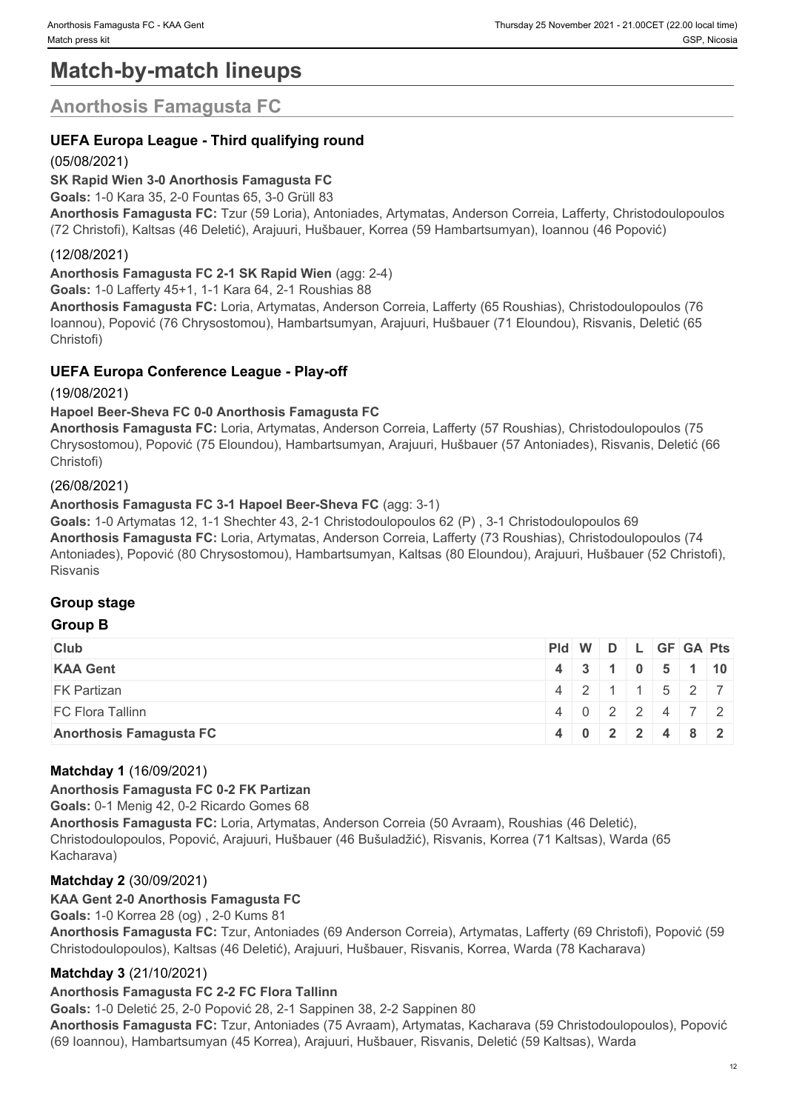# **Match-by-match lineups**

## **Anorthosis Famagusta FC**

## **UEFA Europa League - Third qualifying round**

### (05/08/2021)

### **SK Rapid Wien 3-0 Anorthosis Famagusta FC**

**Goals:** 1-0 Kara 35, 2-0 Fountas 65, 3-0 Grüll 83

**Anorthosis Famagusta FC:** Tzur (59 Loria), Antoniades, Artymatas, Anderson Correia, Lafferty, Christodoulopoulos (72 Christofi), Kaltsas (46 Deletić), Arajuuri, Hušbauer, Korrea (59 Hambartsumyan), Ioannou (46 Popović)

### (12/08/2021)

**Anorthosis Famagusta FC 2-1 SK Rapid Wien** (agg: 2-4)

**Goals:** 1-0 Lafferty 45+1, 1-1 Kara 64, 2-1 Roushias 88

**Anorthosis Famagusta FC:** Loria, Artymatas, Anderson Correia, Lafferty (65 Roushias), Christodoulopoulos (76 Ioannou), Popović (76 Chrysostomou), Hambartsumyan, Arajuuri, Hušbauer (71 Eloundou), Risvanis, Deletić (65 Christofi)

### **UEFA Europa Conference League - Play-off**

(19/08/2021)

#### **Hapoel Beer-Sheva FC 0-0 Anorthosis Famagusta FC**

**Anorthosis Famagusta FC:** Loria, Artymatas, Anderson Correia, Lafferty (57 Roushias), Christodoulopoulos (75 Chrysostomou), Popović (75 Eloundou), Hambartsumyan, Arajuuri, Hušbauer (57 Antoniades), Risvanis, Deletić (66 Christofi)

#### (26/08/2021)

#### **Anorthosis Famagusta FC 3-1 Hapoel Beer-Sheva FC** (agg: 3-1)

**Goals:** 1-0 Artymatas 12, 1-1 Shechter 43, 2-1 Christodoulopoulos 62 (P) , 3-1 Christodoulopoulos 69 **Anorthosis Famagusta FC:** Loria, Artymatas, Anderson Correia, Lafferty (73 Roushias), Christodoulopoulos (74 Antoniades), Popović (80 Chrysostomou), Hambartsumyan, Kaltsas (80 Eloundou), Arajuuri, Hušbauer (52 Christofi), Risvanis

#### **Group stage**

#### **Group B**

| <b>Club</b>                    | $PId \mid W \mid D \mid L \mid GF \mid GA \mid Pts \mid$ |  |  |               |  |
|--------------------------------|----------------------------------------------------------|--|--|---------------|--|
| <b>KAA Gent</b>                |                                                          |  |  | 4 3 1 0 5 1 0 |  |
| <b>FK Partizan</b>             |                                                          |  |  | 4 2 1 1 5 2 7 |  |
| FC Flora Tallinn               |                                                          |  |  | 4 0 2 2 4 7 2 |  |
| <b>Anorthosis Famagusta FC</b> |                                                          |  |  | 4 0 2 2 4 8 2 |  |

#### **Matchday 1** (16/09/2021)

#### **Anorthosis Famagusta FC 0-2 FK Partizan**

**Goals:** 0-1 Menig 42, 0-2 Ricardo Gomes 68

**Anorthosis Famagusta FC:** Loria, Artymatas, Anderson Correia (50 Avraam), Roushias (46 Deletić), Christodoulopoulos, Popović, Arajuuri, Hušbauer (46 Bušuladžić), Risvanis, Korrea (71 Kaltsas), Warda (65 Kacharava)

#### **Matchday 2** (30/09/2021)

#### **KAA Gent 2-0 Anorthosis Famagusta FC**

**Goals:** 1-0 Korrea 28 (og) , 2-0 Kums 81

**Anorthosis Famagusta FC:** Tzur, Antoniades (69 Anderson Correia), Artymatas, Lafferty (69 Christofi), Popović (59 Christodoulopoulos), Kaltsas (46 Deletić), Arajuuri, Hušbauer, Risvanis, Korrea, Warda (78 Kacharava)

#### **Matchday 3** (21/10/2021)

#### **Anorthosis Famagusta FC 2-2 FC Flora Tallinn**

**Goals:** 1-0 Deletić 25, 2-0 Popović 28, 2-1 Sappinen 38, 2-2 Sappinen 80

**Anorthosis Famagusta FC:** Tzur, Antoniades (75 Avraam), Artymatas, Kacharava (59 Christodoulopoulos), Popović (69 Ioannou), Hambartsumyan (45 Korrea), Arajuuri, Hušbauer, Risvanis, Deletić (59 Kaltsas), Warda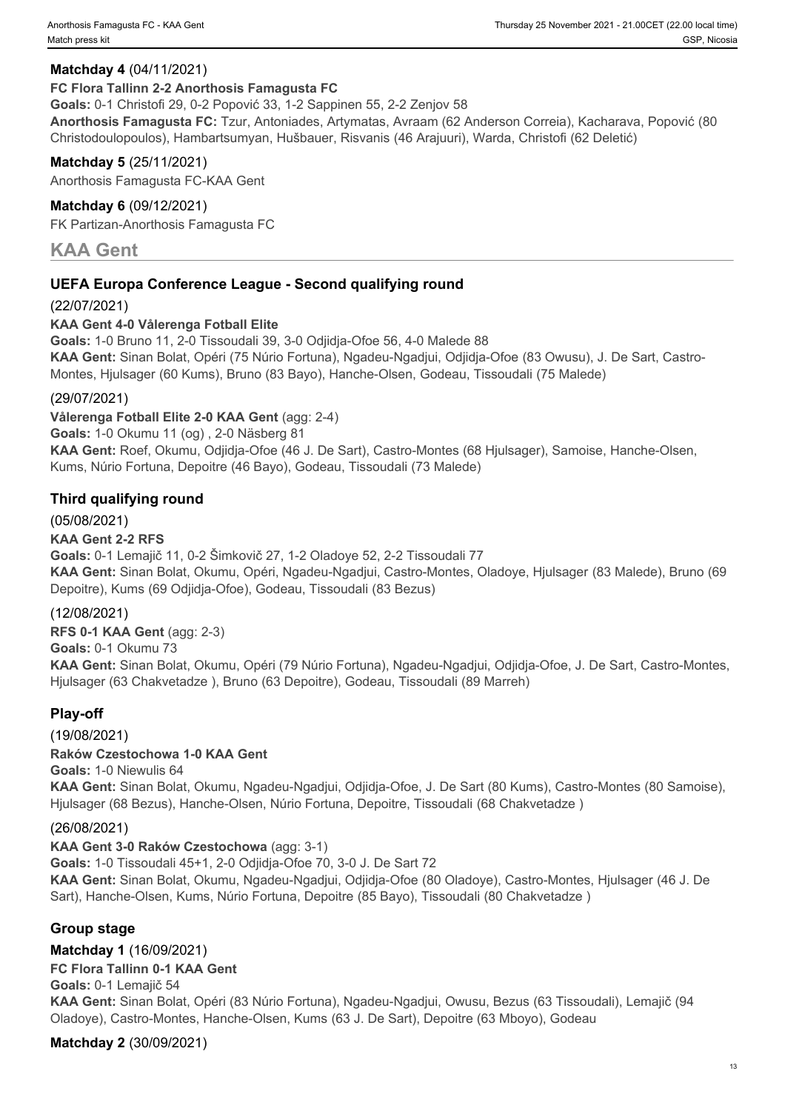### **Matchday 4** (04/11/2021)

#### **FC Flora Tallinn 2-2 Anorthosis Famagusta FC**

**Goals:** 0-1 Christofi 29, 0-2 Popović 33, 1-2 Sappinen 55, 2-2 Zenjov 58

**Anorthosis Famagusta FC:** Tzur, Antoniades, Artymatas, Avraam (62 Anderson Correia), Kacharava, Popović (80 Christodoulopoulos), Hambartsumyan, Hušbauer, Risvanis (46 Arajuuri), Warda, Christofi (62 Deletić)

#### **Matchday 5** (25/11/2021)

Anorthosis Famagusta FC-KAA Gent

#### **Matchday 6** (09/12/2021)

FK Partizan-Anorthosis Famagusta FC

## **KAA Gent**

### **UEFA Europa Conference League - Second qualifying round**

#### (22/07/2021)

#### **KAA Gent 4-0 Vålerenga Fotball Elite**

**Goals:** 1-0 Bruno 11, 2-0 Tissoudali 39, 3-0 Odjidja-Ofoe 56, 4-0 Malede 88 **KAA Gent:** Sinan Bolat, Opéri (75 Núrio Fortuna), Ngadeu-Ngadjui, Odjidja-Ofoe (83 Owusu), J. De Sart, Castro-Montes, Hjulsager (60 Kums), Bruno (83 Bayo), Hanche-Olsen, Godeau, Tissoudali (75 Malede)

#### (29/07/2021)

**Vålerenga Fotball Elite 2-0 KAA Gent** (agg: 2-4)

**Goals:** 1-0 Okumu 11 (og) , 2-0 Näsberg 81

**KAA Gent:** Roef, Okumu, Odjidja-Ofoe (46 J. De Sart), Castro-Montes (68 Hjulsager), Samoise, Hanche-Olsen, Kums, Núrio Fortuna, Depoitre (46 Bayo), Godeau, Tissoudali (73 Malede)

#### **Third qualifying round**

#### (05/08/2021)

#### **KAA Gent 2-2 RFS**

**Goals:** 0-1 Lemajič 11, 0-2 Šimkovič 27, 1-2 Oladoye 52, 2-2 Tissoudali 77 **KAA Gent:** Sinan Bolat, Okumu, Opéri, Ngadeu-Ngadjui, Castro-Montes, Oladoye, Hjulsager (83 Malede), Bruno (69 Depoitre), Kums (69 Odjidja-Ofoe), Godeau, Tissoudali (83 Bezus)

#### (12/08/2021)

**RFS 0-1 KAA Gent** (agg: 2-3) **Goals:** 0-1 Okumu 73 **KAA Gent:** Sinan Bolat, Okumu, Opéri (79 Núrio Fortuna), Ngadeu-Ngadjui, Odjidja-Ofoe, J. De Sart, Castro-Montes, Hjulsager (63 Chakvetadze ), Bruno (63 Depoitre), Godeau, Tissoudali (89 Marreh)

#### **Play-off**

# (19/08/2021)

**Raków Czestochowa 1-0 KAA Gent Goals:** 1-0 Niewulis 64 **KAA Gent:** Sinan Bolat, Okumu, Ngadeu-Ngadjui, Odjidja-Ofoe, J. De Sart (80 Kums), Castro-Montes (80 Samoise), Hjulsager (68 Bezus), Hanche-Olsen, Núrio Fortuna, Depoitre, Tissoudali (68 Chakvetadze )

#### (26/08/2021)

#### **KAA Gent 3-0 Raków Czestochowa** (agg: 3-1)

**Goals:** 1-0 Tissoudali 45+1, 2-0 Odjidja-Ofoe 70, 3-0 J. De Sart 72 **KAA Gent:** Sinan Bolat, Okumu, Ngadeu-Ngadjui, Odjidja-Ofoe (80 Oladoye), Castro-Montes, Hjulsager (46 J. De Sart), Hanche-Olsen, Kums, Núrio Fortuna, Depoitre (85 Bayo), Tissoudali (80 Chakvetadze )

#### **Group stage**

## **Matchday 1** (16/09/2021)

**FC Flora Tallinn 0-1 KAA Gent Goals:** 0-1 Lemajič 54

**KAA Gent:** Sinan Bolat, Opéri (83 Núrio Fortuna), Ngadeu-Ngadjui, Owusu, Bezus (63 Tissoudali), Lemajič (94 Oladoye), Castro-Montes, Hanche-Olsen, Kums (63 J. De Sart), Depoitre (63 Mboyo), Godeau

#### **Matchday 2** (30/09/2021)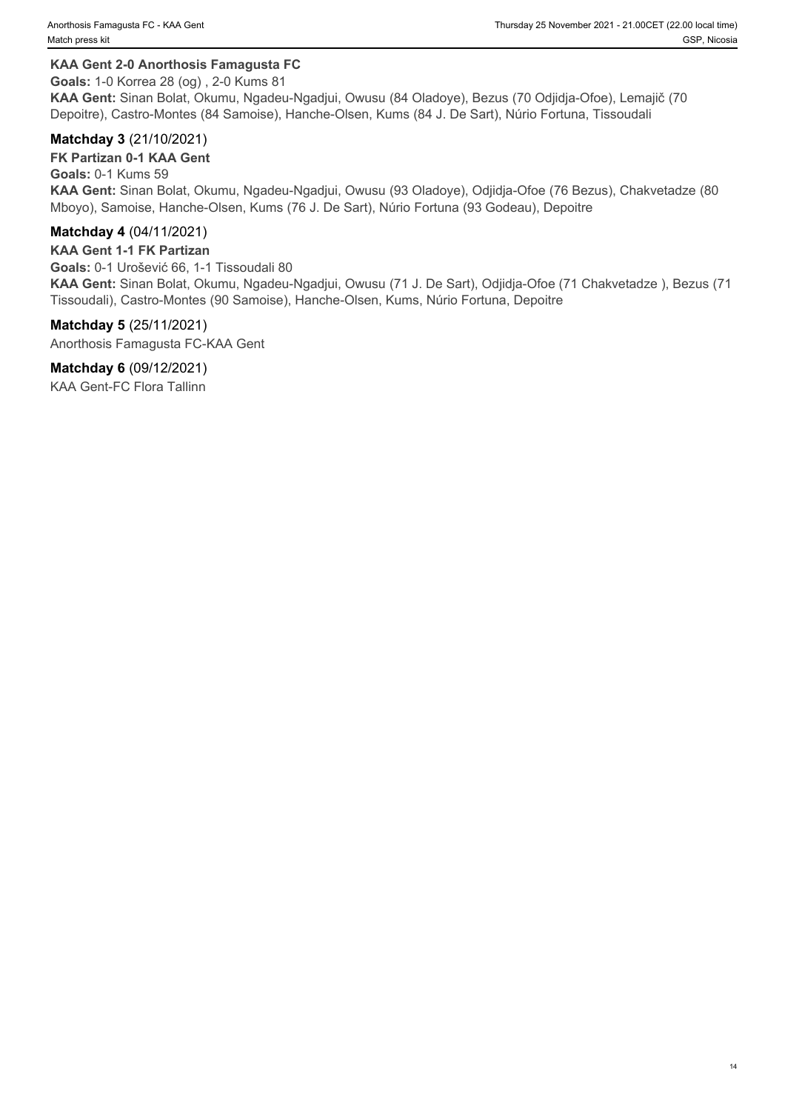#### **KAA Gent 2-0 Anorthosis Famagusta FC**

**Goals:** 1-0 Korrea 28 (og) , 2-0 Kums 81

**KAA Gent:** Sinan Bolat, Okumu, Ngadeu-Ngadjui, Owusu (84 Oladoye), Bezus (70 Odjidja-Ofoe), Lemajič (70 Depoitre), Castro-Montes (84 Samoise), Hanche-Olsen, Kums (84 J. De Sart), Núrio Fortuna, Tissoudali

#### **Matchday 3** (21/10/2021)

**FK Partizan 0-1 KAA Gent Goals:** 0-1 Kums 59 **KAA Gent:** Sinan Bolat, Okumu, Ngadeu-Ngadjui, Owusu (93 Oladoye), Odjidja-Ofoe (76 Bezus), Chakvetadze (80 Mboyo), Samoise, Hanche-Olsen, Kums (76 J. De Sart), Núrio Fortuna (93 Godeau), Depoitre

#### **Matchday 4** (04/11/2021)

**KAA Gent 1-1 FK Partizan Goals:** 0-1 Urošević 66, 1-1 Tissoudali 80 **KAA Gent:** Sinan Bolat, Okumu, Ngadeu-Ngadjui, Owusu (71 J. De Sart), Odjidja-Ofoe (71 Chakvetadze ), Bezus (71 Tissoudali), Castro-Montes (90 Samoise), Hanche-Olsen, Kums, Núrio Fortuna, Depoitre

**Matchday 5** (25/11/2021) Anorthosis Famagusta FC-KAA Gent

## **Matchday 6** (09/12/2021)

KAA Gent-FC Flora Tallinn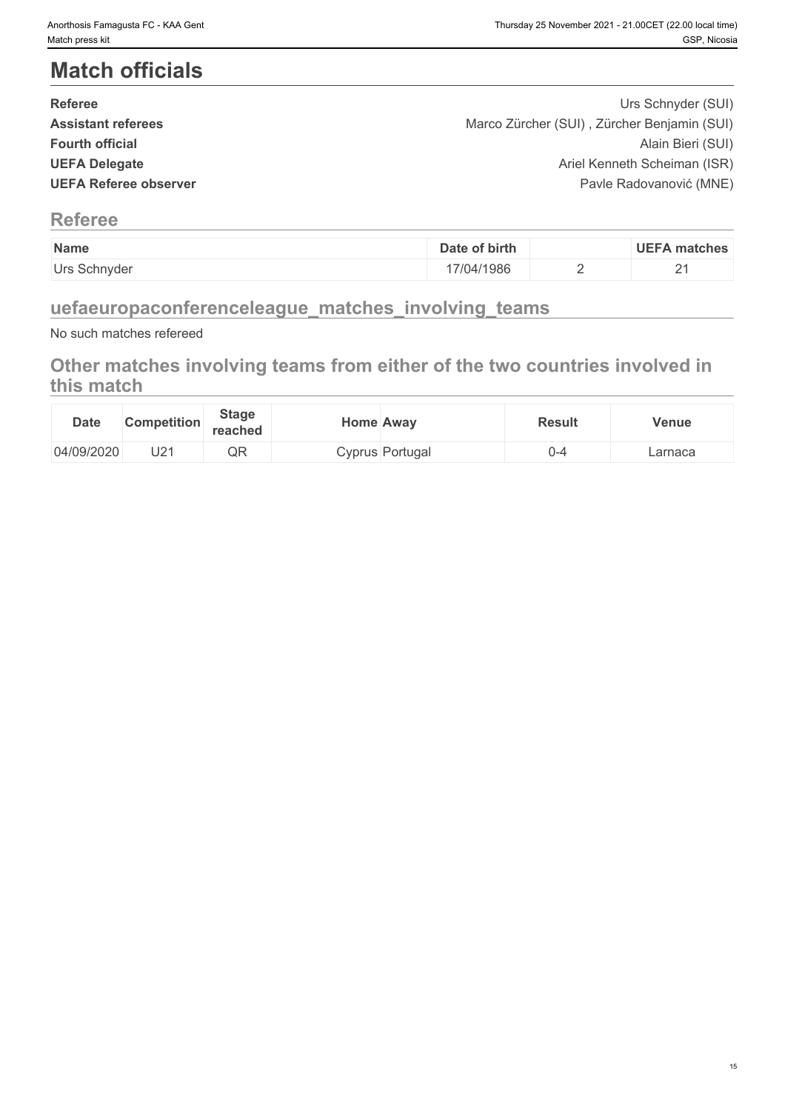# **Match officials**

| <b>Referee</b>               | Urs Schnyder (SUI)                          |  |
|------------------------------|---------------------------------------------|--|
| <b>Assistant referees</b>    | Marco Zürcher (SUI), Zürcher Benjamin (SUI) |  |
| <b>Fourth official</b>       | Alain Bieri (SUI)                           |  |
| <b>UEFA Delegate</b>         | Ariel Kenneth Scheiman (ISR)                |  |
| <b>UEFA Referee observer</b> | Pavle Radovanović (MNE)                     |  |
|                              |                                             |  |

## **Referee**

| Name         | of birth<br>Date | <b>UEFA matches</b> |
|--------------|------------------|---------------------|
| Urs Schnyder | 7/04/1986        | _                   |

## **uefaeuropaconferenceleague\_matches\_involving\_teams**

No such matches refereed

## **Other matches involving teams from either of the two countries involved in this match**

| <b>Date</b> | <b>Competition</b> | <b>Stage</b><br>reached | Home Awav |                 | <b>Result</b> | Venue   |
|-------------|--------------------|-------------------------|-----------|-----------------|---------------|---------|
| 04/09/2020  | П5.                | ∩E<br>۱ ایک             |           | Cyprus Portugal | . <u>.</u>    | Larnaca |